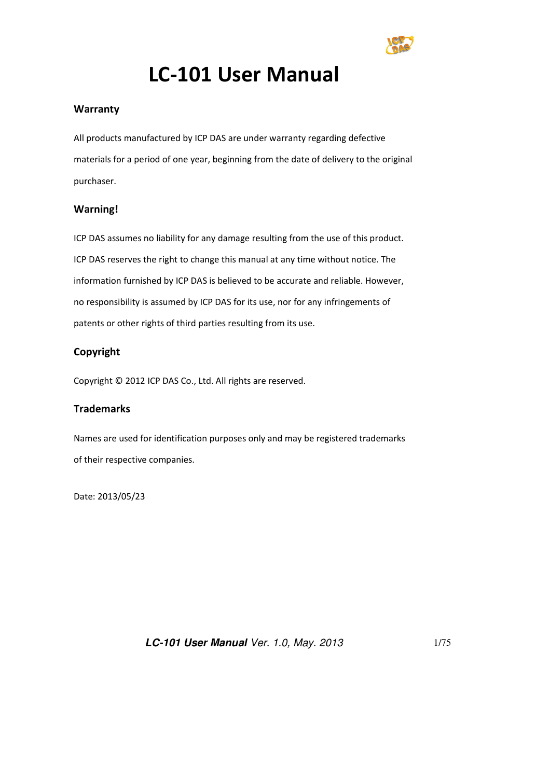

# LC-101 User Manual

# Warranty

All products manufactured by ICP DAS are under warranty regarding defective materials for a period of one year, beginning from the date of delivery to the original purchaser.

# Warning!

ICP DAS assumes no liability for any damage resulting from the use of this product. ICP DAS reserves the right to change this manual at any time without notice. The information furnished by ICP DAS is believed to be accurate and reliable. However, no responsibility is assumed by ICP DAS for its use, nor for any infringements of patents or other rights of third parties resulting from its use.

# Copyright

Copyright © 2012 ICP DAS Co., Ltd. All rights are reserved.

# **Trademarks**

Names are used for identification purposes only and may be registered trademarks of their respective companies.

Date: 2013/05/23

**LC-101 User Manual** Ver. 1.0, May. 2013 1/75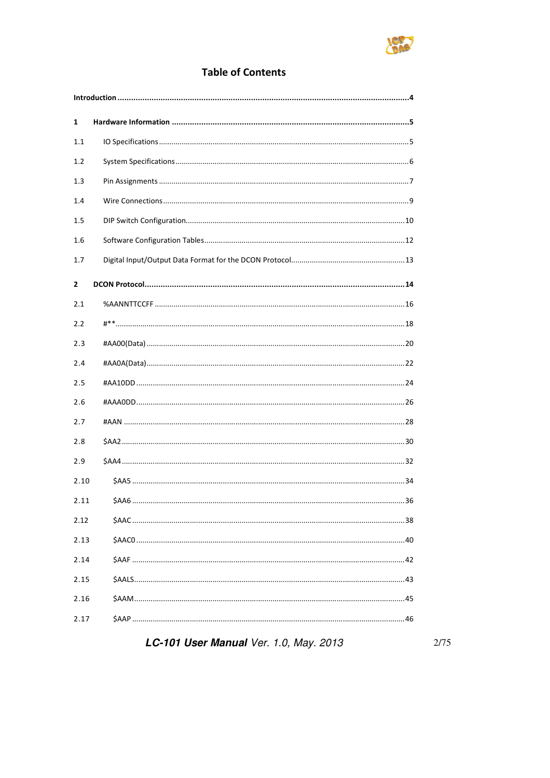

# **Table of Contents**

| 1    |  |
|------|--|
| 1.1  |  |
| 1.2  |  |
| 1.3  |  |
| 1.4  |  |
| 1.5  |  |
| 1.6  |  |
| 1.7  |  |
| 2    |  |
| 2.1  |  |
| 2.2  |  |
| 2.3  |  |
| 2.4  |  |
| 2.5  |  |
| 2.6  |  |
| 2.7  |  |
| 2.8  |  |
| 2.9  |  |
| 2.10 |  |
| 2.11 |  |
| 2.12 |  |
| 2.13 |  |
| 2.14 |  |
| 2.15 |  |
| 2.16 |  |
| 2.17 |  |

LC-101 User Manual Ver. 1.0, May. 2013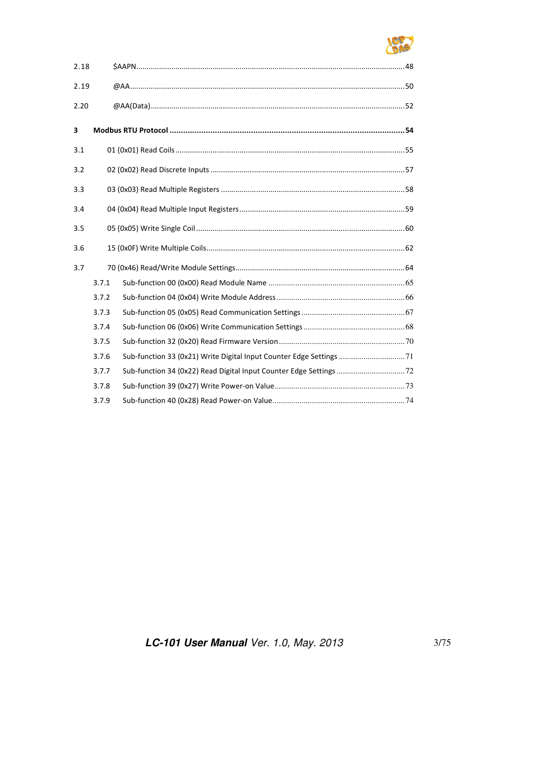

| 2.18 |       |                                                                     |
|------|-------|---------------------------------------------------------------------|
| 2.19 |       |                                                                     |
| 2.20 |       |                                                                     |
| 3    |       |                                                                     |
| 3.1  |       |                                                                     |
| 3.2  |       |                                                                     |
| 3.3  |       |                                                                     |
| 3.4  |       |                                                                     |
| 3.5  |       |                                                                     |
| 3.6  |       |                                                                     |
| 3.7  |       |                                                                     |
|      | 3.7.1 |                                                                     |
|      | 3.7.2 |                                                                     |
|      | 3.7.3 |                                                                     |
|      | 3.7.4 |                                                                     |
|      | 3.7.5 |                                                                     |
|      | 3.7.6 | Sub-function 33 (0x21) Write Digital Input Counter Edge Settings 71 |
|      | 3.7.7 |                                                                     |
|      | 3.7.8 |                                                                     |
|      | 3.7.9 |                                                                     |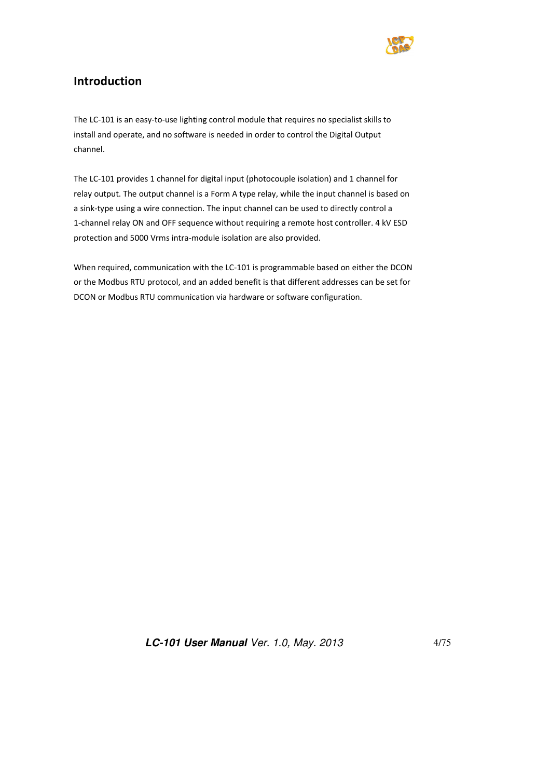

# Introduction

The LC-101 is an easy-to-use lighting control module that requires no specialist skills to install and operate, and no software is needed in order to control the Digital Output channel.

The LC-101 provides 1 channel for digital input (photocouple isolation) and 1 channel for relay output. The output channel is a Form A type relay, while the input channel is based on a sink-type using a wire connection. The input channel can be used to directly control a 1-channel relay ON and OFF sequence without requiring a remote host controller. 4 kV ESD protection and 5000 Vrms intra-module isolation are also provided.

When required, communication with the LC-101 is programmable based on either the DCON or the Modbus RTU protocol, and an added benefit is that different addresses can be set for DCON or Modbus RTU communication via hardware or software configuration.

**LC-101 User Manual** Ver. 1.0, May. 2013 4/75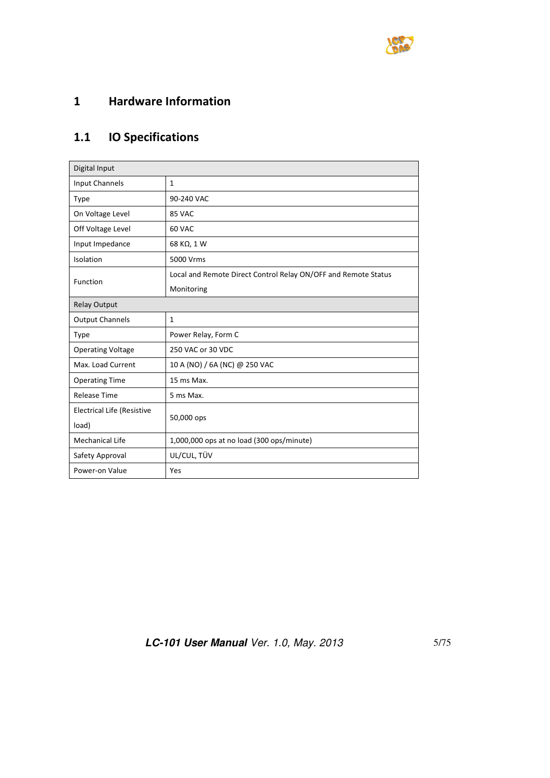

# 1 Hardware Information

# 1.1 IO Specifications

| Digital Input                     |                                                                |  |  |  |
|-----------------------------------|----------------------------------------------------------------|--|--|--|
| <b>Input Channels</b>             | $\mathbf{1}$                                                   |  |  |  |
| <b>Type</b>                       | 90-240 VAC                                                     |  |  |  |
| On Voltage Level                  | 85 VAC                                                         |  |  |  |
| Off Voltage Level                 | 60 VAC                                                         |  |  |  |
| Input Impedance                   | 68 KΩ, 1 W                                                     |  |  |  |
| Isolation                         | 5000 Vrms                                                      |  |  |  |
| Function                          | Local and Remote Direct Control Relay ON/OFF and Remote Status |  |  |  |
|                                   | Monitoring                                                     |  |  |  |
| <b>Relay Output</b>               |                                                                |  |  |  |
| <b>Output Channels</b>            | $\mathbf{1}$                                                   |  |  |  |
| <b>Type</b>                       | Power Relay, Form C                                            |  |  |  |
| <b>Operating Voltage</b>          | 250 VAC or 30 VDC                                              |  |  |  |
| Max. Load Current                 | 10 A (NO) / 6A (NC) @ 250 VAC                                  |  |  |  |
| <b>Operating Time</b>             | 15 ms Max.                                                     |  |  |  |
| <b>Release Time</b>               | 5 ms Max.                                                      |  |  |  |
| <b>Electrical Life (Resistive</b> | 50,000 ops                                                     |  |  |  |
| load)                             |                                                                |  |  |  |
| <b>Mechanical Life</b>            | 1,000,000 ops at no load (300 ops/minute)                      |  |  |  |
| Safety Approval                   | UL/CUL, TÜV                                                    |  |  |  |
| Power-on Value                    | Yes                                                            |  |  |  |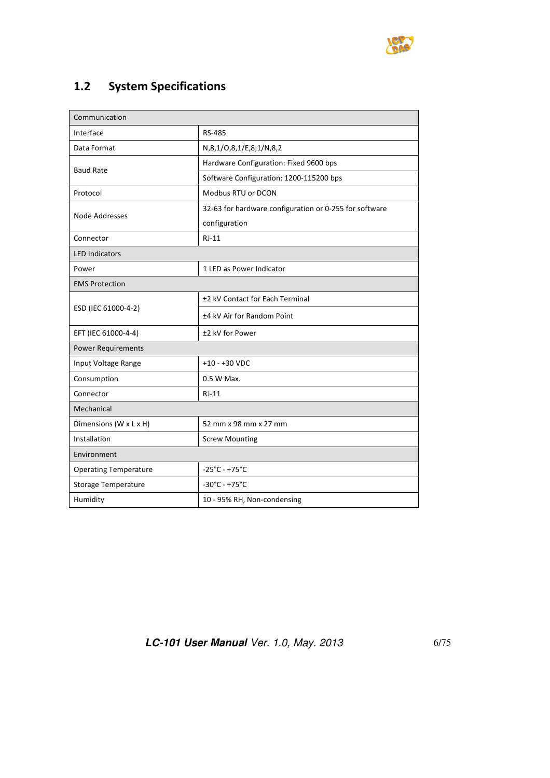

# 1.2 System Specifications

| Communication                |                                                        |  |  |  |  |  |
|------------------------------|--------------------------------------------------------|--|--|--|--|--|
| Interface                    | <b>RS-485</b>                                          |  |  |  |  |  |
| Data Format                  | N,8,1/O,8,1/E,8,1/N,8,2                                |  |  |  |  |  |
| <b>Baud Rate</b>             | Hardware Configuration: Fixed 9600 bps                 |  |  |  |  |  |
|                              | Software Configuration: 1200-115200 bps                |  |  |  |  |  |
| Protocol                     | Modbus RTU or DCON                                     |  |  |  |  |  |
| Node Addresses               | 32-63 for hardware configuration or 0-255 for software |  |  |  |  |  |
|                              | configuration                                          |  |  |  |  |  |
| Connector                    | $RJ-11$                                                |  |  |  |  |  |
| <b>LED Indicators</b>        |                                                        |  |  |  |  |  |
| Power                        | 1 LED as Power Indicator                               |  |  |  |  |  |
| <b>EMS Protection</b>        |                                                        |  |  |  |  |  |
|                              | ±2 kV Contact for Each Terminal                        |  |  |  |  |  |
| ESD (IEC 61000-4-2)          | ±4 kV Air for Random Point                             |  |  |  |  |  |
| EFT (IEC 61000-4-4)          | ±2 kV for Power                                        |  |  |  |  |  |
| <b>Power Requirements</b>    |                                                        |  |  |  |  |  |
| Input Voltage Range          | $+10 - +30$ VDC                                        |  |  |  |  |  |
| Consumption                  | 0.5 W Max.                                             |  |  |  |  |  |
| Connector                    | $RJ-11$                                                |  |  |  |  |  |
| Mechanical                   |                                                        |  |  |  |  |  |
| Dimensions (W x L x H)       | 52 mm x 98 mm x 27 mm                                  |  |  |  |  |  |
| Installation                 | <b>Screw Mounting</b>                                  |  |  |  |  |  |
| Environment                  |                                                        |  |  |  |  |  |
| <b>Operating Temperature</b> | $-25^{\circ}$ C - +75°C                                |  |  |  |  |  |
| Storage Temperature          | $-30^{\circ}$ C - +75 $^{\circ}$ C                     |  |  |  |  |  |
| Humidity                     | 10 - 95% RH, Non-condensing                            |  |  |  |  |  |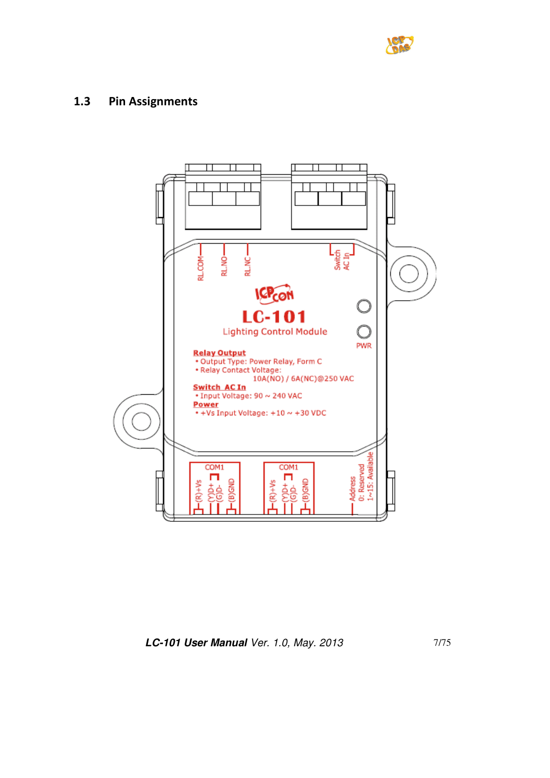

# 1.3 Pin Assignments



**LC-101 User Manual** Ver. 1.0, May. 2013 7/75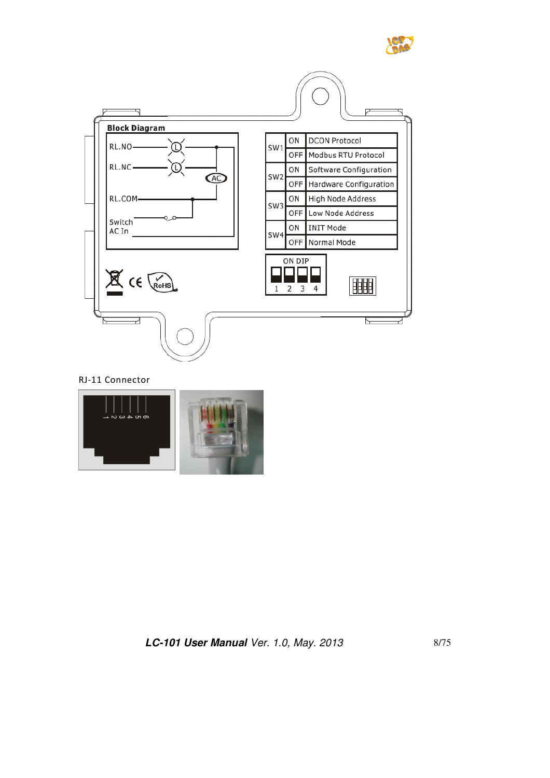



RJ-11 Connector

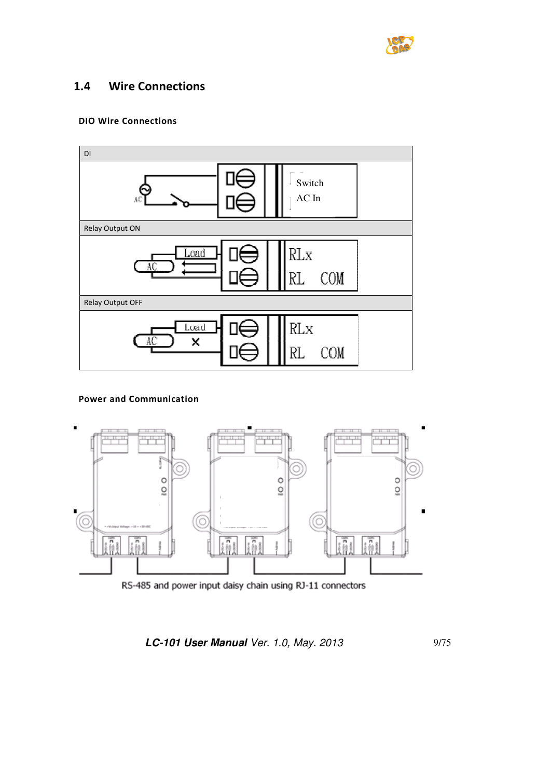

# 1.4 Wire Connections

# DIO Wire Connections



# Power and Communication



RS-485 and power input daisy chain using RJ-11 connectors

**LC-101 User Manual** Ver. 1.0, May. 2013 9/75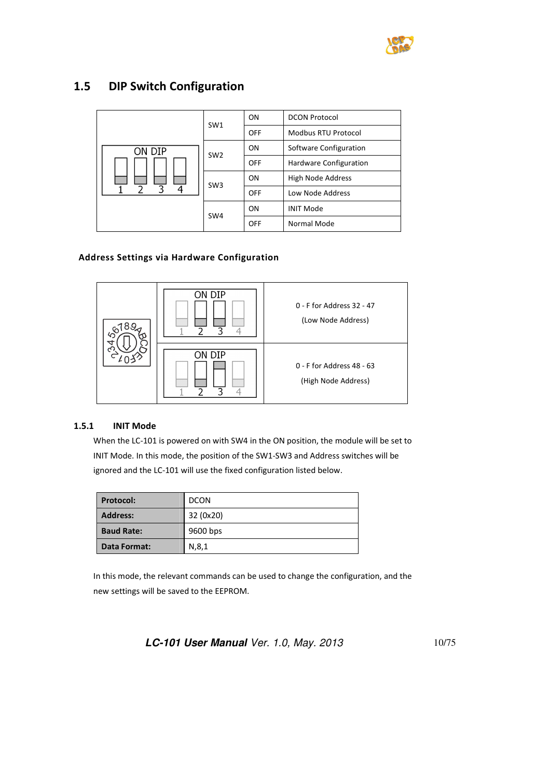

# 1.5 DIP Switch Configuration

|             | SW <sub>1</sub> | ON         | <b>DCON Protocol</b>       |
|-------------|-----------------|------------|----------------------------|
|             |                 | <b>OFF</b> | <b>Modbus RTU Protocol</b> |
| on dip      | SW <sub>2</sub> | ON         | Software Configuration     |
|             |                 | OFF        | Hardware Configuration     |
|             | SW <sub>3</sub> | ON         | High Node Address          |
| ঽ<br>ว<br>Δ |                 | OFF        | Low Node Address           |
|             |                 | ON         | <b>INIT Mode</b>           |
|             | SW <sub>4</sub> | <b>OFF</b> | Normal Mode                |

# Address Settings via Hardware Configuration



# 1.5.1 INIT Mode

When the LC-101 is powered on with SW4 in the ON position, the module will be set to INIT Mode. In this mode, the position of the SW1-SW3 and Address switches will be ignored and the LC-101 will use the fixed configuration listed below.

| Protocol:           | <b>DCON</b> |
|---------------------|-------------|
| <b>Address:</b>     | 32 (0x20)   |
| <b>Baud Rate:</b>   | 9600 bps    |
| <b>Data Format:</b> | N, 8, 1     |

In this mode, the relevant commands can be used to change the configuration, and the new settings will be saved to the EEPROM.

**LC-101 User Manual** Ver. 1.0, May. 2013 10/75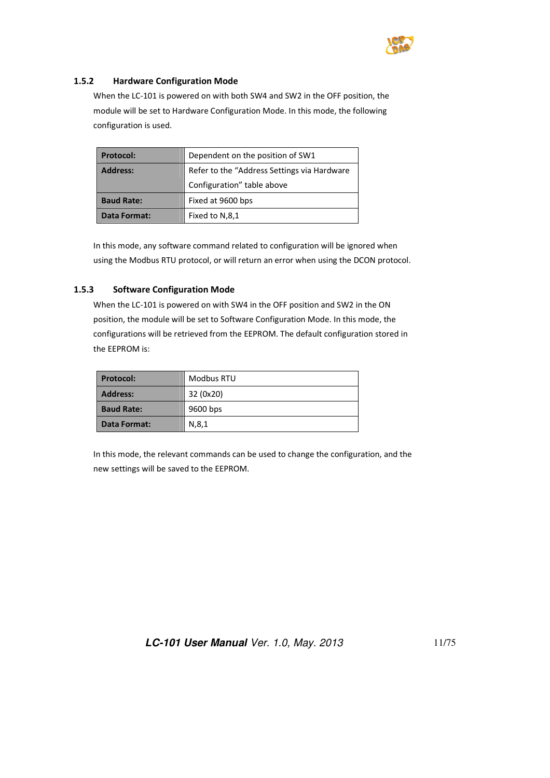

# 1.5.2 Hardware Configuration Mode

When the LC-101 is powered on with both SW4 and SW2 in the OFF position, the module will be set to Hardware Configuration Mode. In this mode, the following configuration is used.

| <b>Protocol:</b>  | Dependent on the position of SW1             |
|-------------------|----------------------------------------------|
| <b>Address:</b>   | Refer to the "Address Settings via Hardware" |
|                   | Configuration" table above                   |
| <b>Baud Rate:</b> | Fixed at 9600 bps                            |
| Data Format:      | Fixed to N,8,1                               |

In this mode, any software command related to configuration will be ignored when using the Modbus RTU protocol, or will return an error when using the DCON protocol.

# 1.5.3 Software Configuration Mode

When the LC-101 is powered on with SW4 in the OFF position and SW2 in the ON position, the module will be set to Software Configuration Mode. In this mode, the configurations will be retrieved from the EEPROM. The default configuration stored in the EEPROM is:

| <b>Protocol:</b>  | Modbus RTU |
|-------------------|------------|
| <b>Address:</b>   | 32 (0x20)  |
| <b>Baud Rate:</b> | 9600 bps   |
| Data Format:      | N, 8, 1    |

In this mode, the relevant commands can be used to change the configuration, and the new settings will be saved to the EEPROM.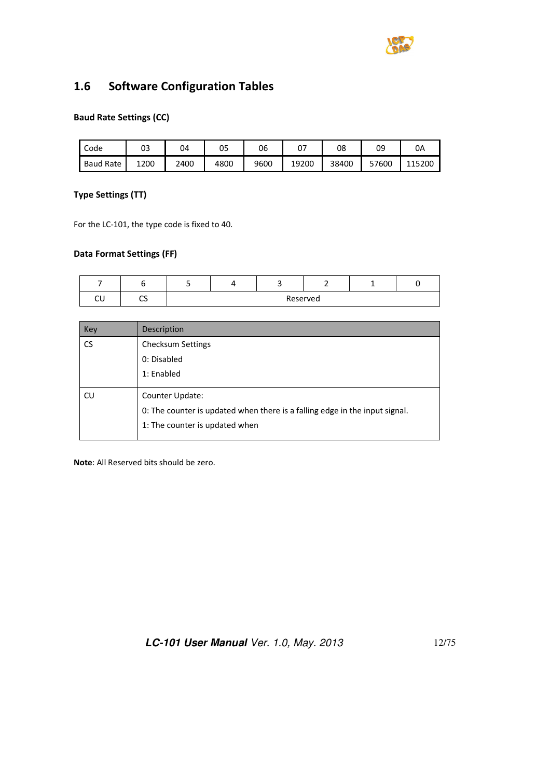

# 1.6 Software Configuration Tables

Baud Rate Settings (CC)

| Code             | 03   | 04   | 05   | 06   | 07    | 08    | 09    | 0A     |
|------------------|------|------|------|------|-------|-------|-------|--------|
| <b>Baud Rate</b> | 1200 | 2400 | 4800 | 9600 | 19200 | 38400 | 57600 | 115200 |

# Type Settings (TT)

For the LC-101, the type code is fixed to 40.

# Data Format Settings (FF)

|              |         | - |  |          |  |
|--------------|---------|---|--|----------|--|
| $\sim$<br>Uυ | --<br>ື |   |  | Reserved |  |

| Key       | Description                                                                 |
|-----------|-----------------------------------------------------------------------------|
| <b>CS</b> | <b>Checksum Settings</b>                                                    |
|           | 0: Disabled                                                                 |
|           | 1: Enabled                                                                  |
| CU        | Counter Update:                                                             |
|           | 0: The counter is updated when there is a falling edge in the input signal. |
|           | 1: The counter is updated when                                              |

Note: All Reserved bits should be zero.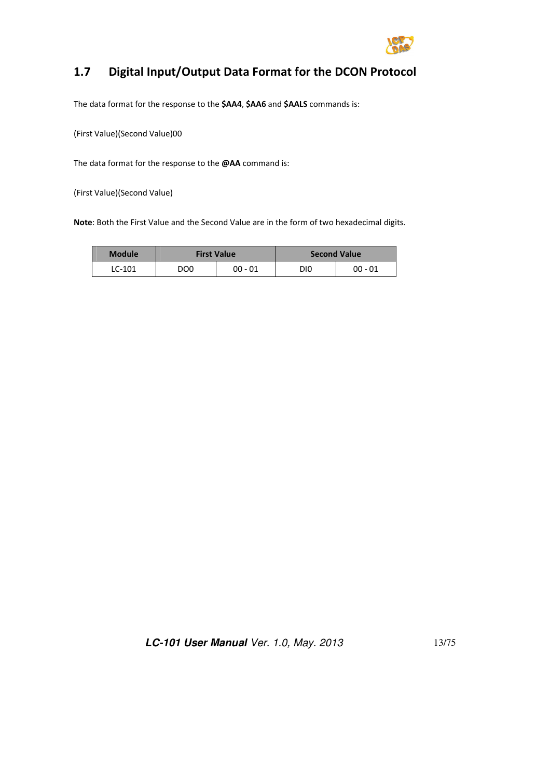

# 1.7 Digital Input/Output Data Format for the DCON Protocol

The data format for the response to the \$AA4, \$AA6 and \$AALS commands is:

(First Value)(Second Value)00

The data format for the response to the @AA command is:

(First Value)(Second Value)

Note: Both the First Value and the Second Value are in the form of two hexadecimal digits.

| <b>Module</b> |                 | <b>First Value</b> |     | <b>Second Value</b> |
|---------------|-----------------|--------------------|-----|---------------------|
| $LC-101$      | DO <sub>0</sub> | $00 - 01$          | DI0 | $00 - 01$           |

**LC-101 User Manual** Ver. 1.0, May. 2013 13/75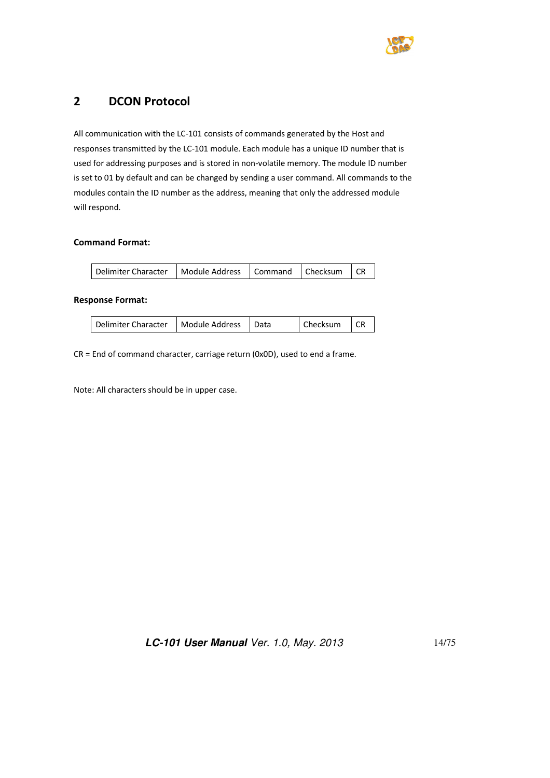

# 2 DCON Protocol

All communication with the LC-101 consists of commands generated by the Host and responses transmitted by the LC-101 module. Each module has a unique ID number that is used for addressing purposes and is stored in non-volatile memory. The module ID number is set to 01 by default and can be changed by sending a user command. All commands to the modules contain the ID number as the address, meaning that only the addressed module will respond.

# Command Format:

| Delimiter Character   Module Address   Command   Checksum |  | <b>CR</b> |
|-----------------------------------------------------------|--|-----------|
|-----------------------------------------------------------|--|-----------|

## Response Format:

CR = End of command character, carriage return (0x0D), used to end a frame.

Note: All characters should be in upper case.

**LC-101 User Manual** Ver. 1.0, May. 2013 14/75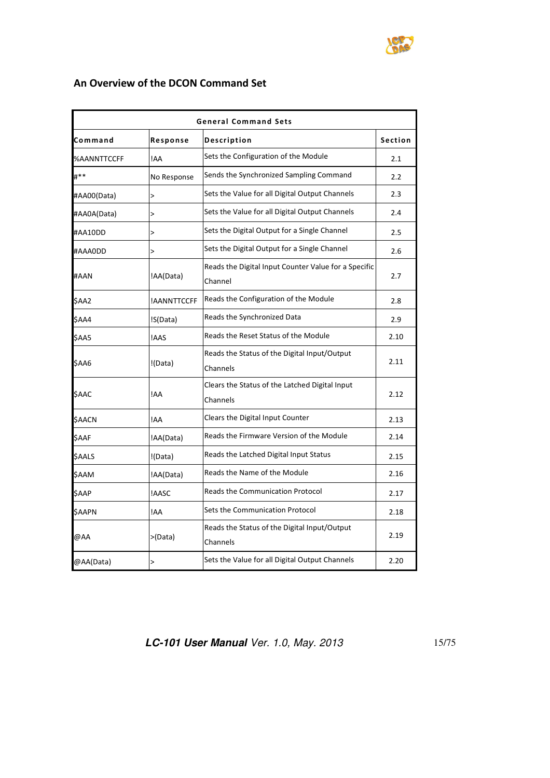

# An Overview of the DCON Command Set

| <b>General Command Sets</b> |              |                                                                 |                |
|-----------------------------|--------------|-----------------------------------------------------------------|----------------|
| Command                     | Response     | Description                                                     | <b>Section</b> |
| %AANNTTCCFF                 | !AA          | Sets the Configuration of the Module                            | 2.1            |
| $\#$ **                     | No Response  | Sends the Synchronized Sampling Command                         | 2.2            |
| #AA00(Data)                 | >            | Sets the Value for all Digital Output Channels                  | 2.3            |
| #AA0A(Data)                 | >            | Sets the Value for all Digital Output Channels                  | 2.4            |
| #AA10DD                     | $\,>\,$      | Sets the Digital Output for a Single Channel                    | 2.5            |
| #AAA0DD                     | $\mathbf{I}$ | Sets the Digital Output for a Single Channel                    | 2.6            |
| #AAN                        | !AA(Data)    | Reads the Digital Input Counter Value for a Specific<br>Channel | 2.7            |
| \$AA2                       | !AANNTTCCFF  | Reads the Configuration of the Module                           | 2.8            |
| \$AA4                       | !S(Data)     | Reads the Synchronized Data                                     | 2.9            |
| \$AA5                       | !AAS         | Reads the Reset Status of the Module                            | 2.10           |
| \$AA6                       | !(Data)      | Reads the Status of the Digital Input/Output<br>Channels        | 2.11           |
| <b>SAAC</b>                 | !AA          | Clears the Status of the Latched Digital Input<br>Channels      | 2.12           |
| <b>\$AACN</b>               | !AA          | Clears the Digital Input Counter                                | 2.13           |
| \$AAF                       | !AA(Data)    | Reads the Firmware Version of the Module                        | 2.14           |
| \$AALS                      | !(Data)      | Reads the Latched Digital Input Status                          | 2.15           |
| \$AAM                       | !AA(Data)    | Reads the Name of the Module                                    | 2.16           |
| \$AAP                       | !AASC        | <b>Reads the Communication Protocol</b>                         | 2.17           |
| <b>\$AAPN</b>               | !AA          | Sets the Communication Protocol                                 | 2.18           |
| @AA                         | >(Data)      | Reads the Status of the Digital Input/Output<br>Channels        | 2.19           |
| @AA(Data)                   | >            | Sets the Value for all Digital Output Channels                  | 2.20           |

**LC-101 User Manual** Ver. 1.0, May. 2013 15/75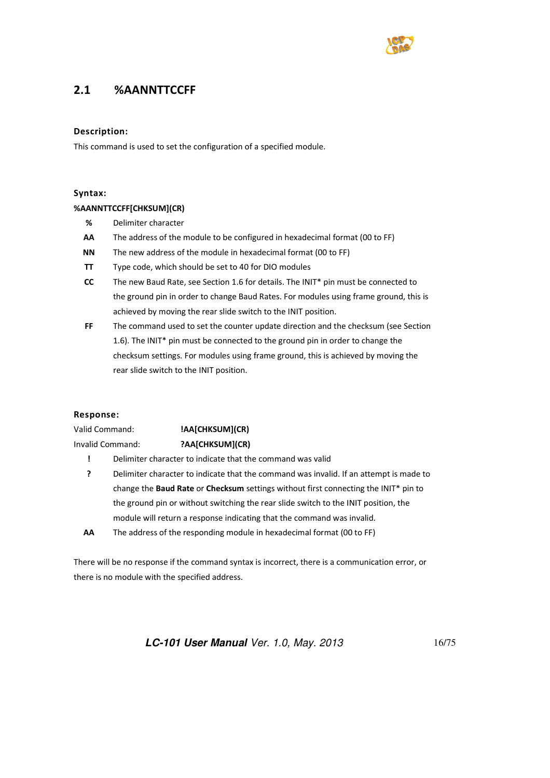

# 2.1 %AANNTTCCFF

# Description:

This command is used to set the configuration of a specified module.

#### Syntax:

#### %AANNTTCCFF[CHKSUM](CR)

- % Delimiter character
- AA The address of the module to be configured in hexadecimal format (00 to FF)
- NN The new address of the module in hexadecimal format (00 to FF)
- TT Type code, which should be set to 40 for DIO modules
- CC The new Baud Rate, see Section 1.6 for details. The INIT\* pin must be connected to the ground pin in order to change Baud Rates. For modules using frame ground, this is achieved by moving the rear slide switch to the INIT position.
- FF The command used to set the counter update direction and the checksum (see Section 1.6). The INIT\* pin must be connected to the ground pin in order to change the checksum settings. For modules using frame ground, this is achieved by moving the rear slide switch to the INIT position.

## Response:

| Valid Command:   | !AA[CHKSUM](CR) |
|------------------|-----------------|
| Invalid Command: | ?AA[CHKSUM](CR) |

- ! Delimiter character to indicate that the command was valid
- ? Delimiter character to indicate that the command was invalid. If an attempt is made to change the Baud Rate or Checksum settings without first connecting the INIT\* pin to the ground pin or without switching the rear slide switch to the INIT position, the module will return a response indicating that the command was invalid.
- AA The address of the responding module in hexadecimal format (00 to FF)

There will be no response if the command syntax is incorrect, there is a communication error, or there is no module with the specified address.

**LC-101 User Manual** Ver. 1.0, May. 2013 16/75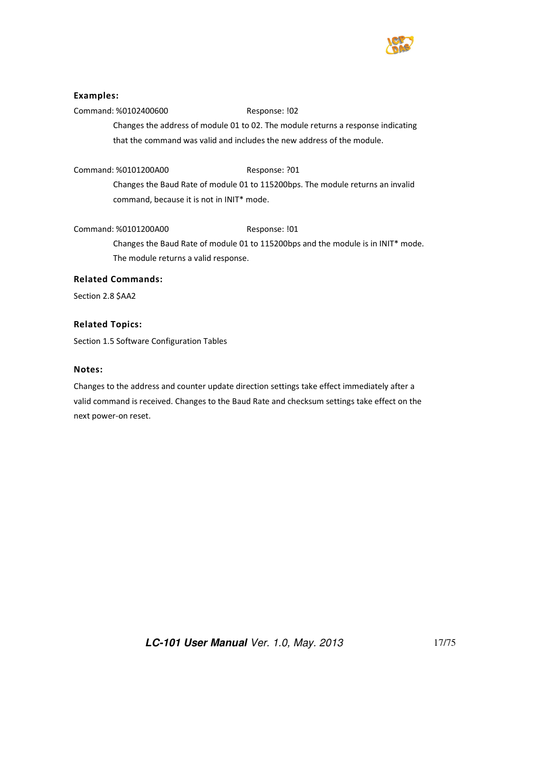

# Examples:

Command: %0102400600 Response: !02

 Changes the address of module 01 to 02. The module returns a response indicating that the command was valid and includes the new address of the module.

Command: %0101200A00 Response: ?01

 Changes the Baud Rate of module 01 to 115200bps. The module returns an invalid command, because it is not in INIT\* mode.

# Command: %0101200A00 Response: !01

 Changes the Baud Rate of module 01 to 115200bps and the module is in INIT\* mode. The module returns a valid response.

# Related Commands:

Section 2.8 \$AA2

# Related Topics:

Section 1.5 Software Configuration Tables

# Notes:

Changes to the address and counter update direction settings take effect immediately after a valid command is received. Changes to the Baud Rate and checksum settings take effect on the next power-on reset.

**LC-101 User Manual** Ver. 1.0, May. 2013 17/75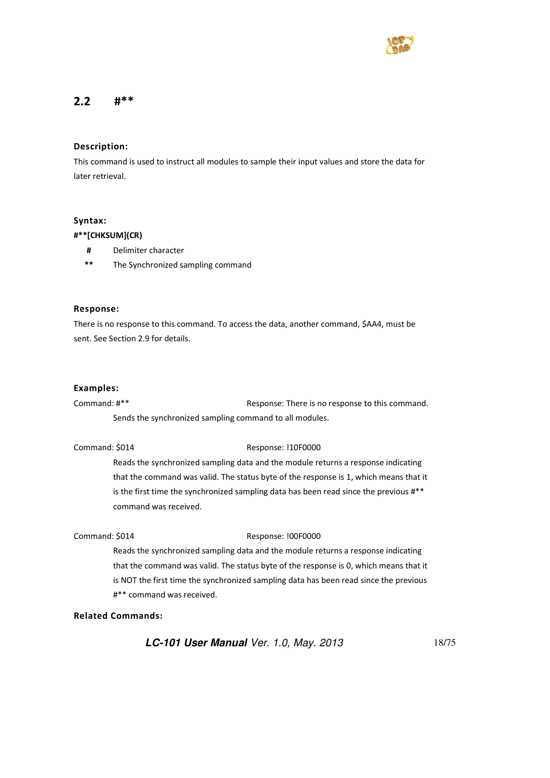

# $2.2$  #\*\*

# Description:

This command is used to instruct all modules to sample their input values and store the data for later retrieval.

# Syntax:

# #\*\*[CHKSUM](CR)

- # Delimiter character
- \*\* The Synchronized sampling command

## Response:

There is no response to this command. To access the data, another command, \$AA4, must be sent. See Section 2.9 for details.

## Examples:

Command: #\*\* Response: There is no response to this command. Sends the synchronized sampling command to all modules.

## Command: \$014 Response: !10F0000

 Reads the synchronized sampling data and the module returns a response indicating that the command was valid. The status byte of the response is 1, which means that it is the first time the synchronized sampling data has been read since the previous #\*\* command was received.

## Command: \$014 Response: !00F0000

 Reads the synchronized sampling data and the module returns a response indicating that the command was valid. The status byte of the response is 0, which means that it is NOT the first time the synchronized sampling data has been read since the previous #\*\* command was received.

# Related Commands: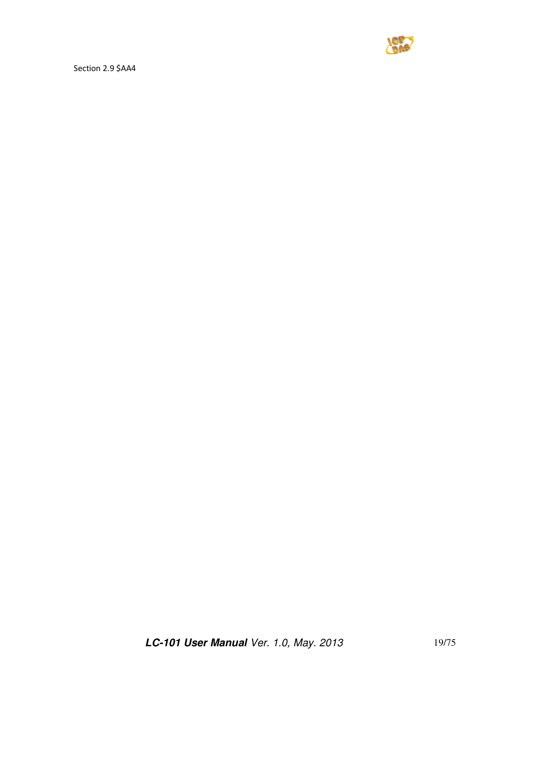Section 2.9 \$AA4



**LC-101 User Manual** Ver. 1.0, May. 2013 19/75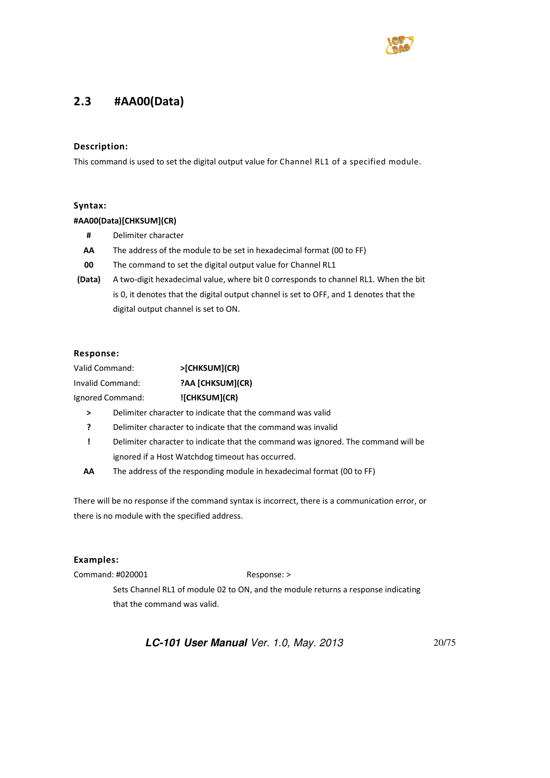

# 2.3 #AA00(Data)

# Description:

This command is used to set the digital output value for Channel RL1 of a specified module.

## Syntax:

#### #AA00(Data)[CHKSUM](CR)

- # Delimiter character
- AA The address of the module to be set in hexadecimal format (00 to FF)
- 00 The command to set the digital output value for Channel RL1
- (Data) A two-digit hexadecimal value, where bit 0 corresponds to channel RL1. When the bit is 0, it denotes that the digital output channel is set to OFF, and 1 denotes that the digital output channel is set to ON.

#### Response:

| Valid Command:   | >[CHKSUM](CR)    |
|------------------|------------------|
| Invalid Command: | ?AA [CHKSUM](CR) |
| Ignored Command: | ![CHKSUM](CR)    |

- > Delimiter character to indicate that the command was valid
- ? Delimiter character to indicate that the command was invalid
- ! Delimiter character to indicate that the command was ignored. The command will be ignored if a Host Watchdog timeout has occurred.
- AA The address of the responding module in hexadecimal format (00 to FF)

There will be no response if the command syntax is incorrect, there is a communication error, or there is no module with the specified address.

# Examples:

Command: #020001 Response: >

 Sets Channel RL1 of module 02 to ON, and the module returns a response indicating that the command was valid.

**LC-101 User Manual** Ver. 1.0, May. 2013 20/75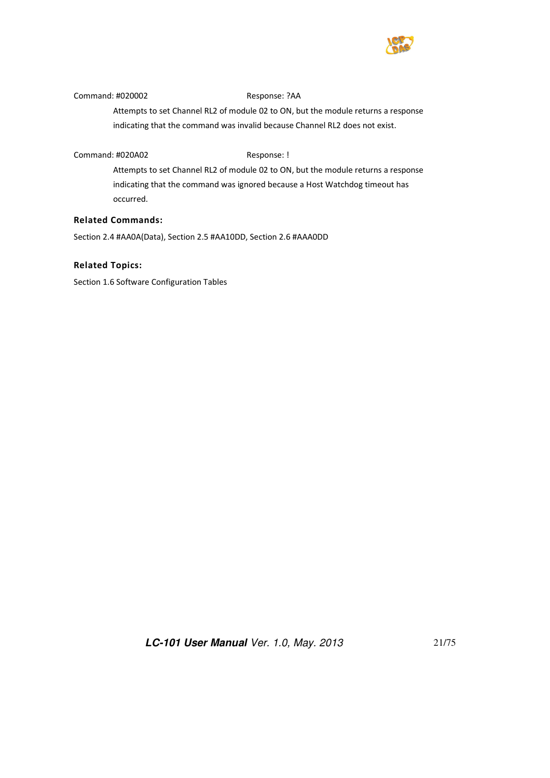

# Command: #020002 Response: ?AA

 Attempts to set Channel RL2 of module 02 to ON, but the module returns a response indicating that the command was invalid because Channel RL2 does not exist.

#### Command: #020A02 Response: !

 Attempts to set Channel RL2 of module 02 to ON, but the module returns a response indicating that the command was ignored because a Host Watchdog timeout has occurred.

# Related Commands:

Section 2.4 #AA0A(Data), Section 2.5 #AA10DD, Section 2.6 #AAA0DD

# Related Topics:

Section 1.6 Software Configuration Tables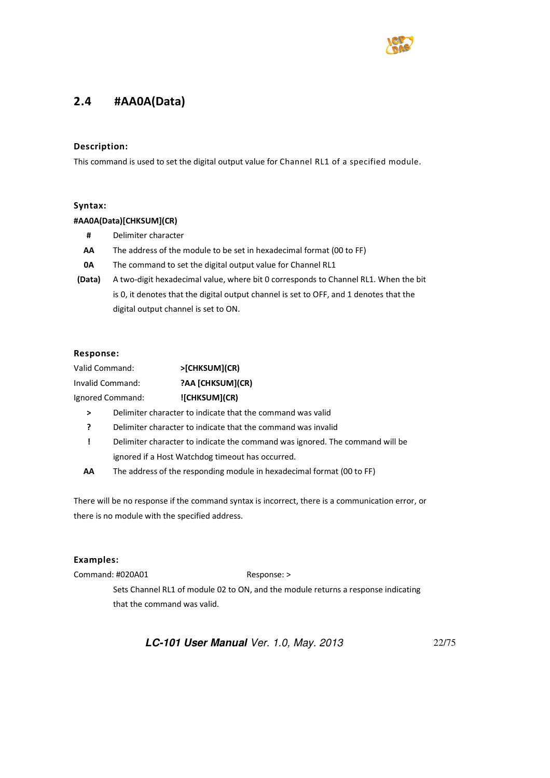

# 2.4 #AA0A(Data)

# Description:

This command is used to set the digital output value for Channel RL1 of a specified module.

## Syntax:

## #AA0A(Data)[CHKSUM](CR)

- # Delimiter character
- AA The address of the module to be set in hexadecimal format (00 to FF)
- 0A The command to set the digital output value for Channel RL1
- (Data) A two-digit hexadecimal value, where bit 0 corresponds to Channel RL1. When the bit is 0, it denotes that the digital output channel is set to OFF, and 1 denotes that the digital output channel is set to ON.

#### Response:

| Valid Command:   | >[CHKSUM](CR)    |
|------------------|------------------|
| Invalid Command: | ?AA [CHKSUM](CR) |
| Ignored Command: | ![CHKSUM](CR)    |

- > Delimiter character to indicate that the command was valid
- ? Delimiter character to indicate that the command was invalid
- ! Delimiter character to indicate the command was ignored. The command will be ignored if a Host Watchdog timeout has occurred.
- AA The address of the responding module in hexadecimal format (00 to FF)

There will be no response if the command syntax is incorrect, there is a communication error, or there is no module with the specified address.

## Examples:

Command: #020A01 Response: >

 Sets Channel RL1 of module 02 to ON, and the module returns a response indicating that the command was valid.

**LC-101 User Manual** Ver. 1.0, May. 2013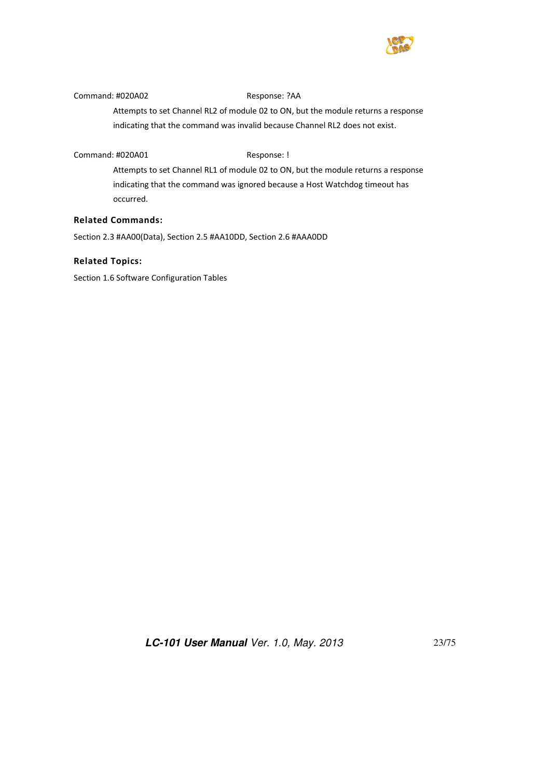

## Command: #020A02 Response: ?AA

 Attempts to set Channel RL2 of module 02 to ON, but the module returns a response indicating that the command was invalid because Channel RL2 does not exist.

## Command: #020A01 Response: !

 Attempts to set Channel RL1 of module 02 to ON, but the module returns a response indicating that the command was ignored because a Host Watchdog timeout has occurred.

# Related Commands:

Section 2.3 #AA00(Data), Section 2.5 #AA10DD, Section 2.6 #AAA0DD

# Related Topics:

Section 1.6 Software Configuration Tables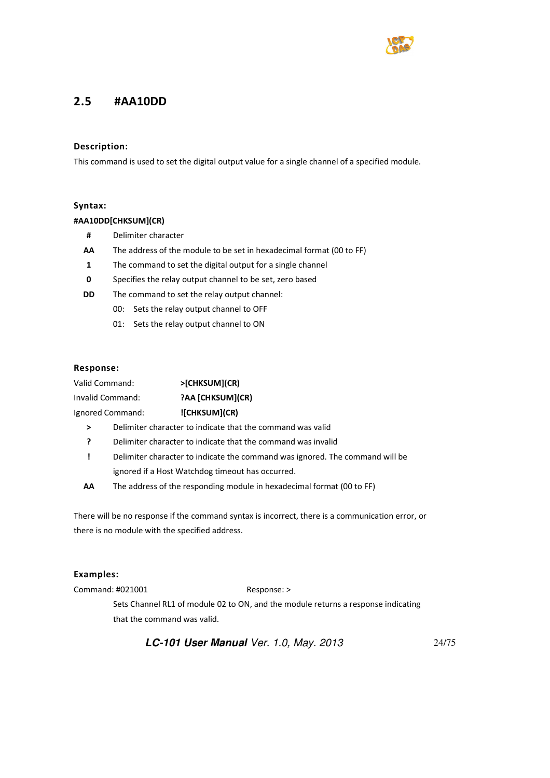

# 2.5 #AA10DD

# Description:

This command is used to set the digital output value for a single channel of a specified module.

## Syntax:

## #AA10DD[CHKSUM](CR)

- # Delimiter character
- AA The address of the module to be set in hexadecimal format (00 to FF)
- 1 The command to set the digital output for a single channel
- 0 Specifies the relay output channel to be set, zero based
- DD The command to set the relay output channel:
	- 00: Sets the relay output channel to OFF
	- 01: Sets the relay output channel to ON

#### Response:

| Valid Command:   |                  | >[CHKSUM](CR)                                                |
|------------------|------------------|--------------------------------------------------------------|
| Invalid Command: |                  | ?AA [CHKSUM](CR)                                             |
|                  | Ignored Command: | ![CHKSUM](CR)                                                |
| >                |                  | Delimiter character to indicate that the command was valid   |
| 7                |                  | Delimiter character to indicate that the command was invalid |

- ! Delimiter character to indicate the command was ignored. The command will be ignored if a Host Watchdog timeout has occurred.
- AA The address of the responding module in hexadecimal format (00 to FF)

There will be no response if the command syntax is incorrect, there is a communication error, or there is no module with the specified address.

# Examples:

Command: #021001 Response: >

 Sets Channel RL1 of module 02 to ON, and the module returns a response indicating that the command was valid.

**LC-101 User Manual** Ver. 1.0, May. 2013 24/75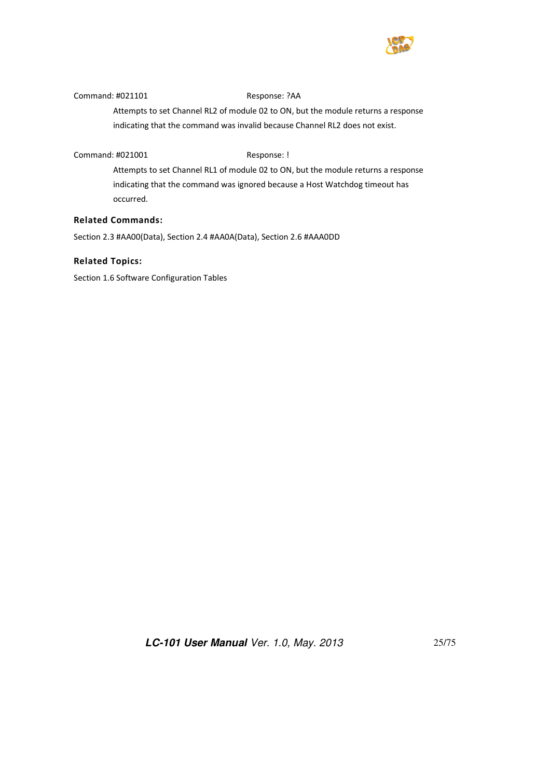

# Command: #021101 Response: ?AA

 Attempts to set Channel RL2 of module 02 to ON, but the module returns a response indicating that the command was invalid because Channel RL2 does not exist.

## Command: #021001 Response: !

 Attempts to set Channel RL1 of module 02 to ON, but the module returns a response indicating that the command was ignored because a Host Watchdog timeout has occurred.

# Related Commands:

Section 2.3 #AA00(Data), Section 2.4 #AA0A(Data), Section 2.6 #AAA0DD

# Related Topics:

Section 1.6 Software Configuration Tables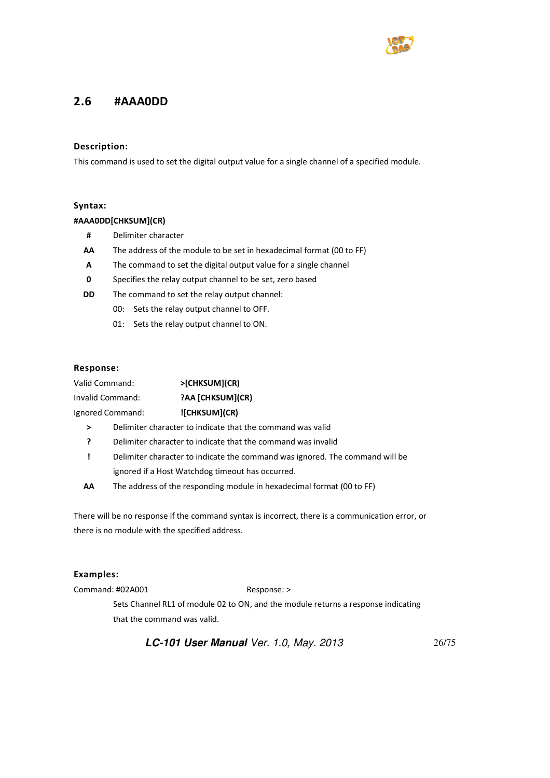

# 2.6 #AAA0DD

# Description:

This command is used to set the digital output value for a single channel of a specified module.

## Syntax:

#### #AAA0DD[CHKSUM](CR)

- # Delimiter character
- AA The address of the module to be set in hexadecimal format (00 to FF)
- A The command to set the digital output value for a single channel
- 0 Specifies the relay output channel to be set, zero based
- DD The command to set the relay output channel:
	- 00: Sets the relay output channel to OFF.
	- 01: Sets the relay output channel to ON.

#### Response:

| Valid Command: |                                                            | >[CHKSUM](CR)                                                |
|----------------|------------------------------------------------------------|--------------------------------------------------------------|
|                | Invalid Command:                                           | <b>PAA [CHKSUM](CR)</b>                                      |
|                | Ignored Command:                                           | ![CHKSUM](CR)                                                |
| >              | Delimiter character to indicate that the command was valid |                                                              |
| 7              |                                                            | Delimiter character to indicate that the command was invalid |

- ! Delimiter character to indicate the command was ignored. The command will be ignored if a Host Watchdog timeout has occurred.
- AA The address of the responding module in hexadecimal format (00 to FF)

There will be no response if the command syntax is incorrect, there is a communication error, or there is no module with the specified address.

# Examples:

Command: #02A001 Response: >

 Sets Channel RL1 of module 02 to ON, and the module returns a response indicating that the command was valid.

**LC-101 User Manual** Ver. 1.0, May. 2013 26/75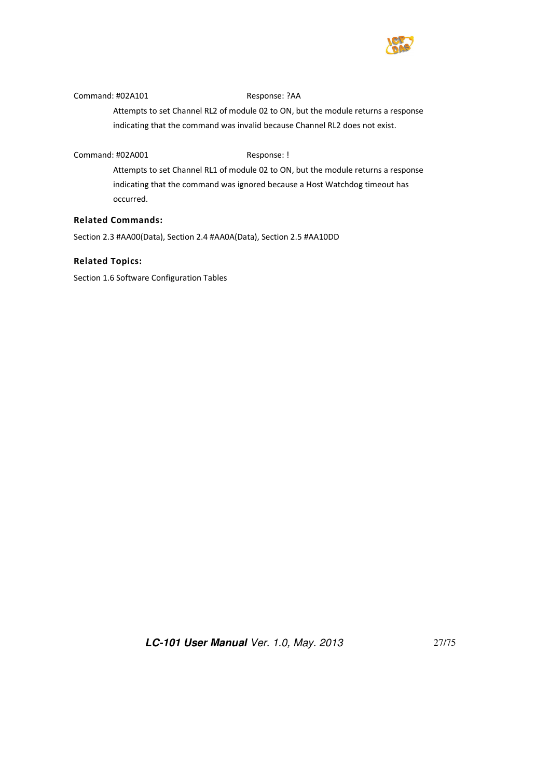

# Command: #02A101 Response: ?AA

 Attempts to set Channel RL2 of module 02 to ON, but the module returns a response indicating that the command was invalid because Channel RL2 does not exist.

#### Command: #02A001 Response: !

 Attempts to set Channel RL1 of module 02 to ON, but the module returns a response indicating that the command was ignored because a Host Watchdog timeout has occurred.

# Related Commands:

Section 2.3 #AA00(Data), Section 2.4 #AA0A(Data), Section 2.5 #AA10DD

# Related Topics:

Section 1.6 Software Configuration Tables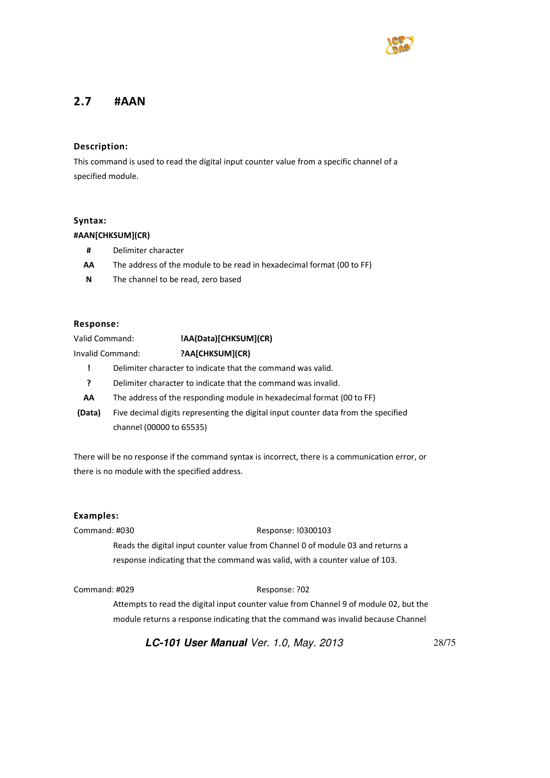

# 2.7 #AAN

# Description:

This command is used to read the digital input counter value from a specific channel of a specified module.

## Syntax:

## #AAN[CHKSUM](CR)

- # Delimiter character
- AA The address of the module to be read in hexadecimal format (00 to FF)
- N The channel to be read, zero based

#### Response:

| Valid Command: |                                                               | !AA(Data)[CHKSUM](CR)                                                              |
|----------------|---------------------------------------------------------------|------------------------------------------------------------------------------------|
|                | Invalid Command:                                              | ?AA[CHKSUM](CR)                                                                    |
|                |                                                               | Delimiter character to indicate that the command was valid.                        |
| 2              | Delimiter character to indicate that the command was invalid. |                                                                                    |
| AA             |                                                               | The address of the responding module in hexadecimal format (00 to FF)              |
| (Data)         |                                                               | Five decimal digits representing the digital input counter data from the specified |

channel (00000 to 65535)

There will be no response if the command syntax is incorrect, there is a communication error, or there is no module with the specified address.

# Examples:

Command: #030 Response: !0300103

 Reads the digital input counter value from Channel 0 of module 03 and returns a response indicating that the command was valid, with a counter value of 103.

Command: #029 Response: ?02

 Attempts to read the digital input counter value from Channel 9 of module 02, but the module returns a response indicating that the command was invalid because Channel

**LC-101 User Manual** Ver. 1.0, May. 2013 28/75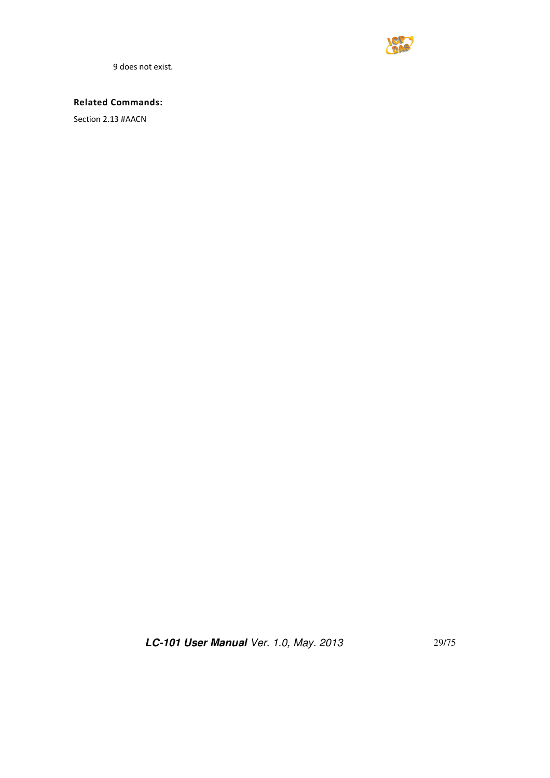

9 does not exist.

# Related Commands:

Section 2.13 #AACN

**LC-101 User Manual** Ver. 1.0, May. 2013 29/75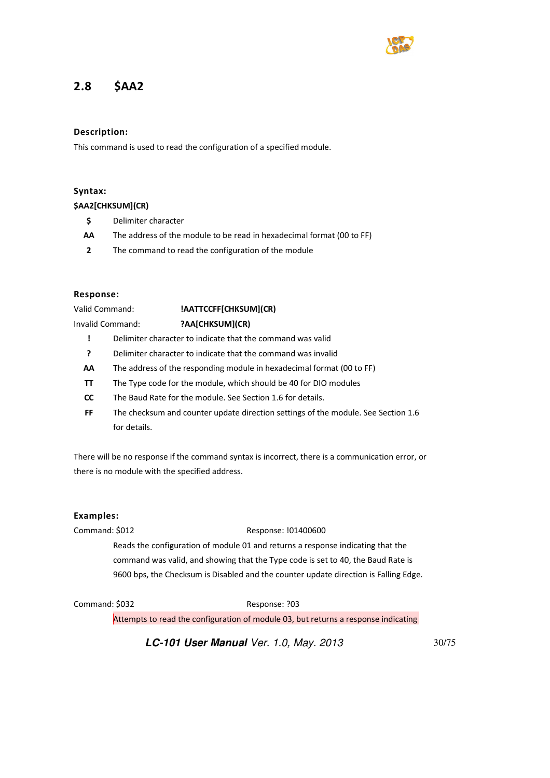

# 2.8 \$AA2

# Description:

This command is used to read the configuration of a specified module.

# Syntax:

#### \$AA2[CHKSUM](CR)

- \$ Delimiter character
- AA The address of the module to be read in hexadecimal format (00 to FF)
- 2 The command to read the configuration of the module

## Response:

Valid Command: **!AATTCCFF[CHKSUM](CR)** Invalid Command: ?AA[CHKSUM](CR)

- ! Delimiter character to indicate that the command was valid
- ? Delimiter character to indicate that the command was invalid
- AA The address of the responding module in hexadecimal format (00 to FF)
- TT The Type code for the module, which should be 40 for DIO modules
- CC The Baud Rate for the module. See Section 1.6 for details.
- FF The checksum and counter update direction settings of the module. See Section 1.6 for details.

There will be no response if the command syntax is incorrect, there is a communication error, or there is no module with the specified address.

# Examples:

#### Command: \$012 Response: !01400600

 Reads the configuration of module 01 and returns a response indicating that the command was valid, and showing that the Type code is set to 40, the Baud Rate is 9600 bps, the Checksum is Disabled and the counter update direction is Falling Edge.

Command: \$032 Response: ?03

Attempts to read the configuration of module 03, but returns a response indicating

**LC-101 User Manual** Ver. 1.0, May. 2013 **30/75**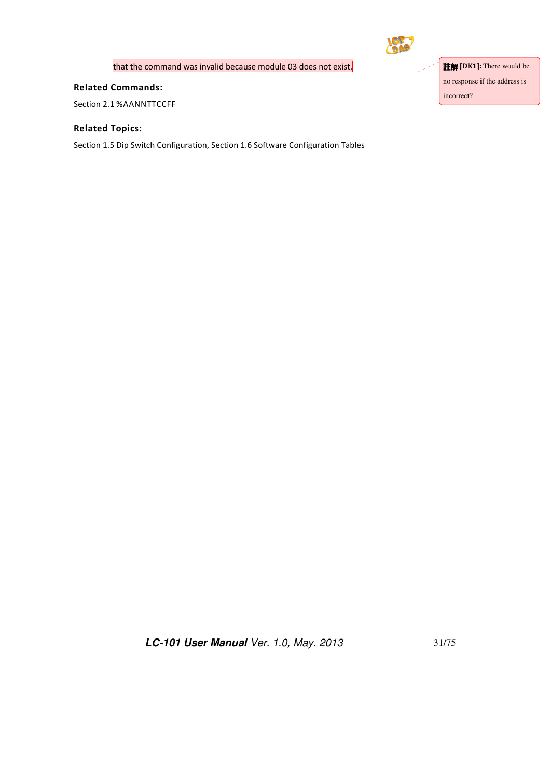

# that the command was invalid because module 03 does not exist.

# Related Commands:

Section 2.1 %AANNTTCCFF

# Related Topics:

Section 1.5 Dip Switch Configuration, Section 1.6 Software Configuration Tables

註解 [DK1]: There would be no response if the address is incorrect?

**LC-101 User Manual** Ver. 1.0, May. 2013 31/75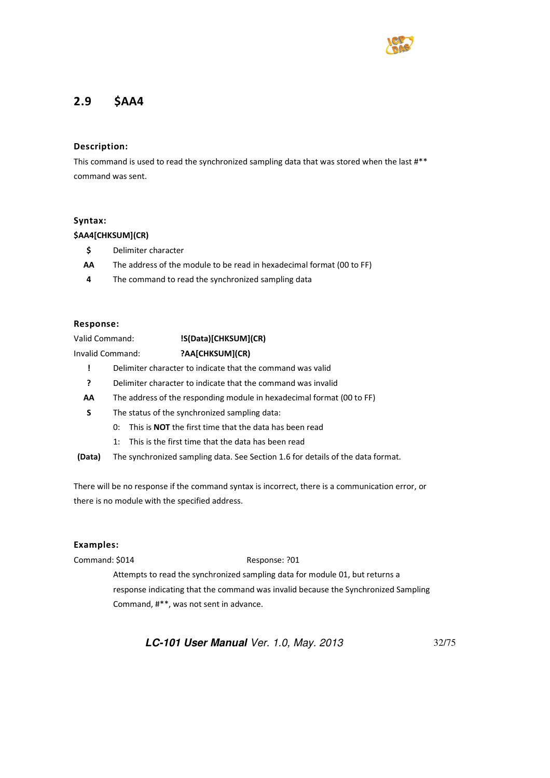

# 2.9 \$AA4

# Description:

This command is used to read the synchronized sampling data that was stored when the last #\*\* command was sent.

## Syntax:

## \$AA4[CHKSUM](CR)

- \$ Delimiter character
- AA The address of the module to be read in hexadecimal format (00 to FF)
- 4 The command to read the synchronized sampling data

#### Response:

| Valid Command:   | !S(Data)[CHKSUM](CR)                                                  |
|------------------|-----------------------------------------------------------------------|
| Invalid Command: | ?AA[CHKSUM](CR)                                                       |
|                  | Delimiter character to indicate that the command was valid            |
| ?                | Delimiter character to indicate that the command was invalid          |
| AA               | The address of the responding module in hexadecimal format (00 to FF) |
|                  |                                                                       |

- S The status of the synchronized sampling data:
	- 0: This is NOT the first time that the data has been read
	- 1: This is the first time that the data has been read
- (Data) The synchronized sampling data. See Section 1.6 for details of the data format.

There will be no response if the command syntax is incorrect, there is a communication error, or there is no module with the specified address.

# Examples:

Command: \$014 Response: ?01

 Attempts to read the synchronized sampling data for module 01, but returns a response indicating that the command was invalid because the Synchronized Sampling Command, #\*\*, was not sent in advance.

**LC-101 User Manual** Ver. 1.0, May. 2013 **32/75**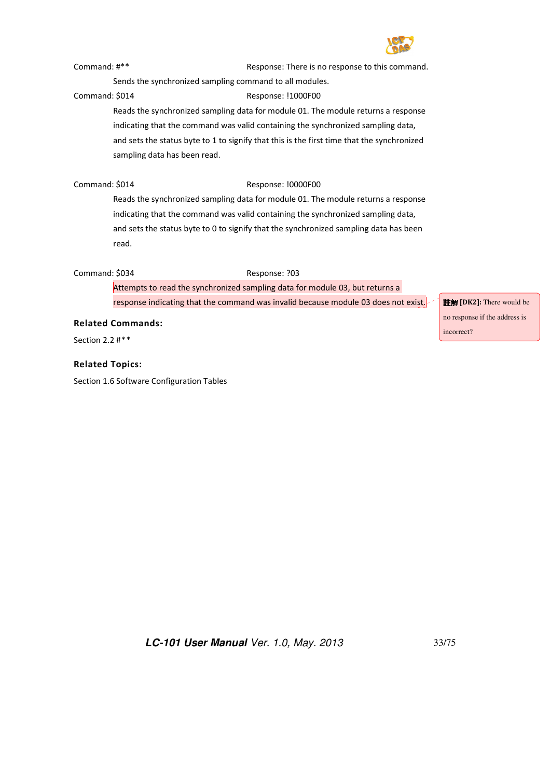

Command:  $\#$ <sup>\*</sup> **Response:** There is no response to this command. Sends the synchronized sampling command to all modules. Command: \$014 Response: !1000F00 Reads the synchronized sampling data for module 01. The module returns a response indicating that the command was valid containing the synchronized sampling data, and sets the status byte to 1 to signify that this is the first time that the synchronized sampling data has been read.

Command: \$014 Response: !0000F00

 Reads the synchronized sampling data for module 01. The module returns a response indicating that the command was valid containing the synchronized sampling data, and sets the status byte to 0 to signify that the synchronized sampling data has been read.

#### Command: \$034 Response: ?03

Attempts to read the synchronized sampling data for module 03, but returns a

response indicating that the command was invalid because module 03 does not exist.

## Related Commands:

Section 2.2 #\*\*

# Related Topics:

Section 1.6 Software Configuration Tables

註解 [DK2]: There would be no response if the address is

incorrect?

**LC-101 User Manual** Ver. 1.0, May. 2013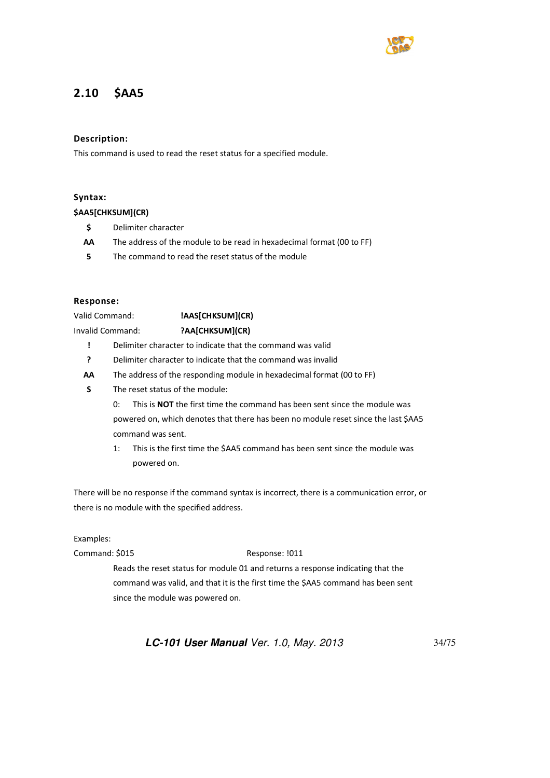

# 2.10 \$AA5

# Description:

This command is used to read the reset status for a specified module.

# Syntax:

## \$AA5[CHKSUM](CR)

- \$ Delimiter character
- AA The address of the module to be read in hexadecimal format (00 to FF)
- 5 The command to read the reset status of the module

## Response:

| Valid Command:   | !AAS[CHKSUM](CR) |
|------------------|------------------|
| Invalid Command: | ?AA[CHKSUM](CR)  |

- ! Delimiter character to indicate that the command was valid
- ? Delimiter character to indicate that the command was invalid
- AA The address of the responding module in hexadecimal format (00 to FF)
- S The reset status of the module:

0: This is **NOT** the first time the command has been sent since the module was powered on, which denotes that there has been no module reset since the last \$AA5 command was sent.

1: This is the first time the \$AA5 command has been sent since the module was powered on.

There will be no response if the command syntax is incorrect, there is a communication error, or there is no module with the specified address.

Examples:

#### Command: \$015 Response: !011

 Reads the reset status for module 01 and returns a response indicating that the command was valid, and that it is the first time the \$AA5 command has been sent since the module was powered on.

**LC-101 User Manual** Ver. 1.0, May. 2013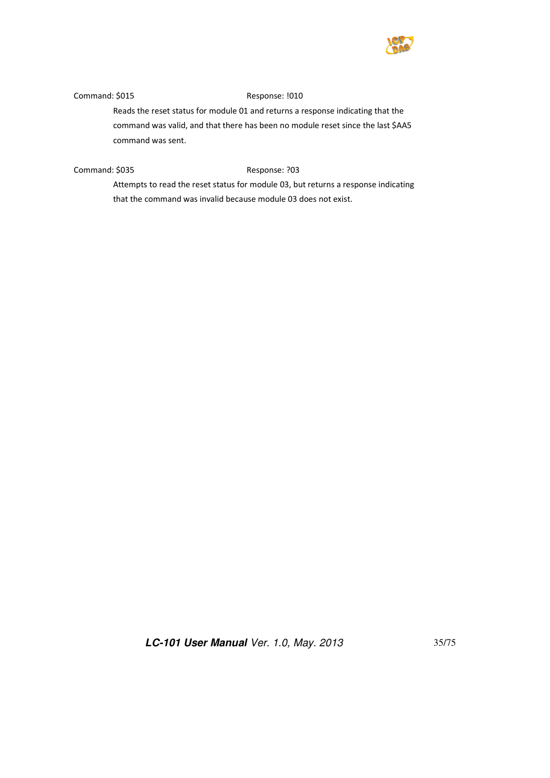

# Command: \$015 Response: !010

 Reads the reset status for module 01 and returns a response indicating that the command was valid, and that there has been no module reset since the last \$AA5 command was sent.

# Command: \$035 Response: ?03

 Attempts to read the reset status for module 03, but returns a response indicating that the command was invalid because module 03 does not exist.

**LC-101 User Manual** Ver. 1.0, May. 2013 35/75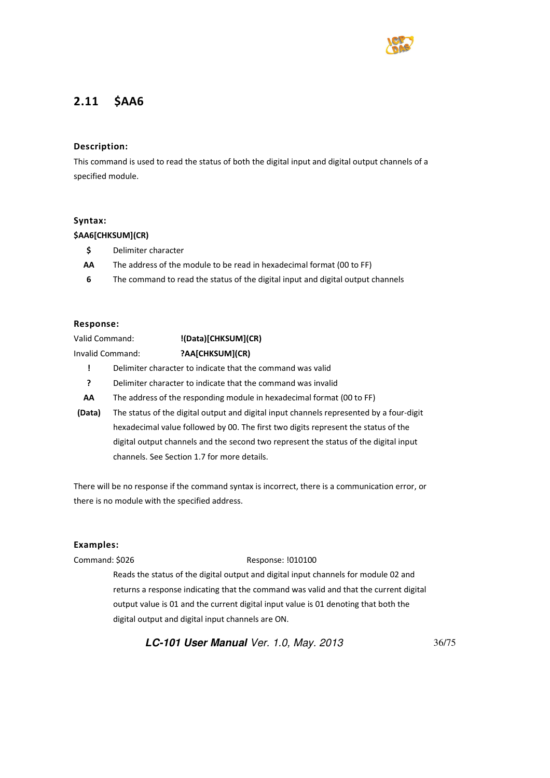

# 2.11 \$AA6

# Description:

This command is used to read the status of both the digital input and digital output channels of a specified module.

# Syntax:

#### \$AA6[CHKSUM](CR)

- \$ Delimiter character
- AA The address of the module to be read in hexadecimal format (00 to FF)
- 6 The command to read the status of the digital input and digital output channels

#### Response:

| Valid Command:   |                                                                       | !(Data)[CHKSUM](CR)                                                                     |
|------------------|-----------------------------------------------------------------------|-----------------------------------------------------------------------------------------|
| Invalid Command: |                                                                       | ?AA[CHKSUM](CR)                                                                         |
|                  | Delimiter character to indicate that the command was valid            |                                                                                         |
| 7                | Delimiter character to indicate that the command was invalid          |                                                                                         |
| AA               | The address of the responding module in hexadecimal format (00 to FF) |                                                                                         |
| (Data)           |                                                                       | The status of the digital output and digital input channels represented by a four-digit |

hexadecimal value followed by 00. The first two digits represent the status of the digital output channels and the second two represent the status of the digital input channels. See Section 1.7 for more details.

There will be no response if the command syntax is incorrect, there is a communication error, or there is no module with the specified address.

#### Examples:

#### Command: \$026 Response: !010100

 Reads the status of the digital output and digital input channels for module 02 and returns a response indicating that the command was valid and that the current digital output value is 01 and the current digital input value is 01 denoting that both the digital output and digital input channels are ON.

**LC-101 User Manual** Ver. 1.0, May. 2013 36/75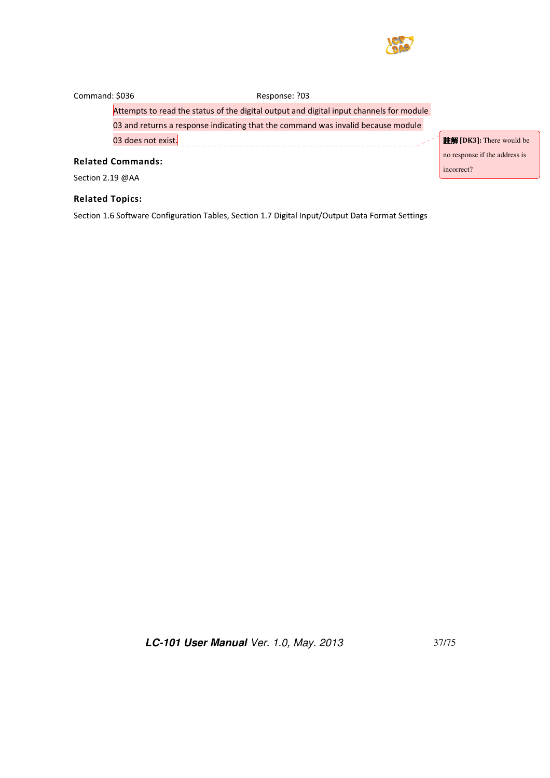

| Command: \$036 |  |
|----------------|--|
|----------------|--|

Command: \$036 Response: ?03

Attempts to read the status of the digital output and digital input channels for module 03 and returns a response indicating that the command was invalid because module 03 does not exist.

## Related Commands:

Section 2.19 @AA

#### Related Topics:

Section 1.6 Software Configuration Tables, Section 1.7 Digital Input/Output Data Format Settings

**LC-101 User Manual** Ver. 1.0, May. 2013 37/75

註解 [DK3]: There would be no response if the address is incorrect?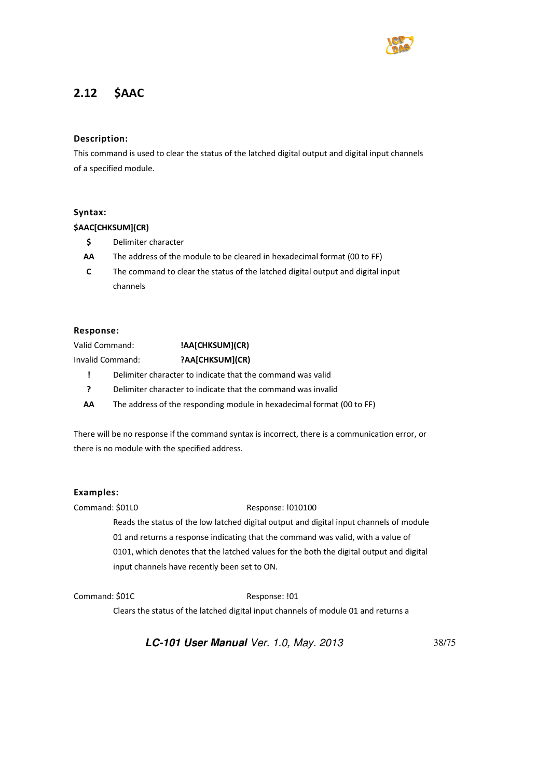

# 2.12 \$AAC

# Description:

This command is used to clear the status of the latched digital output and digital input channels of a specified module.

### Syntax:

## \$AAC[CHKSUM](CR)

- \$ Delimiter character
- AA The address of the module to be cleared in hexadecimal format (00 to FF)
- C The command to clear the status of the latched digital output and digital input channels

#### Response:

| Valid Command: |                                                            | !AA[CHKSUM](CR)                                              |  |
|----------------|------------------------------------------------------------|--------------------------------------------------------------|--|
|                | Invalid Command:                                           | ?AA[CHKSUM](CR)                                              |  |
| $\mathbf{L}$   | Delimiter character to indicate that the command was valid |                                                              |  |
| Ρ.             |                                                            | Delimiter character to indicate that the command was invalid |  |
|                |                                                            |                                                              |  |

AA The address of the responding module in hexadecimal format (00 to FF)

There will be no response if the command syntax is incorrect, there is a communication error, or there is no module with the specified address.

#### Examples:

#### Command: \$01L0 Response: !010100

 Reads the status of the low latched digital output and digital input channels of module 01 and returns a response indicating that the command was valid, with a value of 0101, which denotes that the latched values for the both the digital output and digital input channels have recently been set to ON.

Command: \$01C Response: !01

Clears the status of the latched digital input channels of module 01 and returns a

**LC-101 User Manual** Ver. 1.0, May. 2013 38/75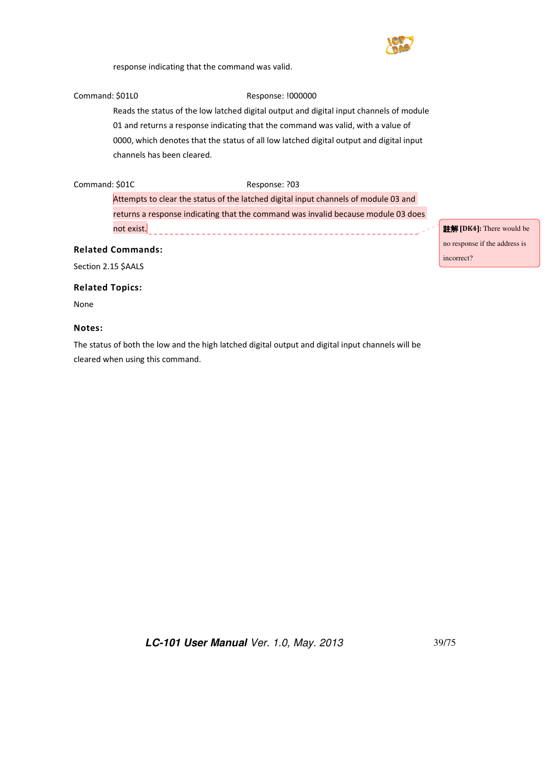

response indicating that the command was valid.

#### Command: \$01L0 Response: !000000

 Reads the status of the low latched digital output and digital input channels of module 01 and returns a response indicating that the command was valid, with a value of 0000, which denotes that the status of all low latched digital output and digital input channels has been cleared.

#### Command: \$01C Response: ?03

Attempts to clear the status of the latched digital input channels of module 03 and returns a response indicating that the command was invalid because module 03 does not exist. 

Related Commands:

Section 2.15 \$AALS

#### Related Topics:

None

# Notes:

The status of both the low and the high latched digital output and digital input channels will be cleared when using this command.

註解 [DK4]: There would be no response if the address is incorrect?

**LC-101 User Manual** Ver. 1.0, May. 2013 39/75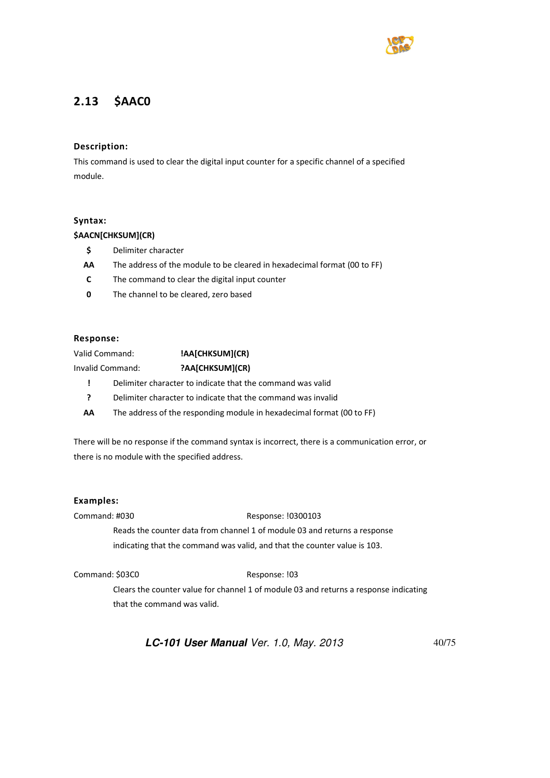

# 2.13 \$AAC0

# Description:

This command is used to clear the digital input counter for a specific channel of a specified module.

#### Syntax:

#### \$AACN[CHKSUM](CR)

- \$ Delimiter character
- AA The address of the module to be cleared in hexadecimal format (00 to FF)
- C The command to clear the digital input counter
- 0 The channel to be cleared, zero based

#### Response:

Valid Command: **!AA[CHKSUM](CR)** Invalid Command: ?AA[CHKSUM](CR)

- ! Delimiter character to indicate that the command was valid
- ? Delimiter character to indicate that the command was invalid
- AA The address of the responding module in hexadecimal format (00 to FF)

There will be no response if the command syntax is incorrect, there is a communication error, or there is no module with the specified address.

# Examples:

#### Command: #030 Response: !0300103

 Reads the counter data from channel 1 of module 03 and returns a response indicating that the command was valid, and that the counter value is 103.

Command: \$03C0 Response: !03

 Clears the counter value for channel 1 of module 03 and returns a response indicating that the command was valid.

**LC-101 User Manual** Ver. 1.0, May. 2013 40/75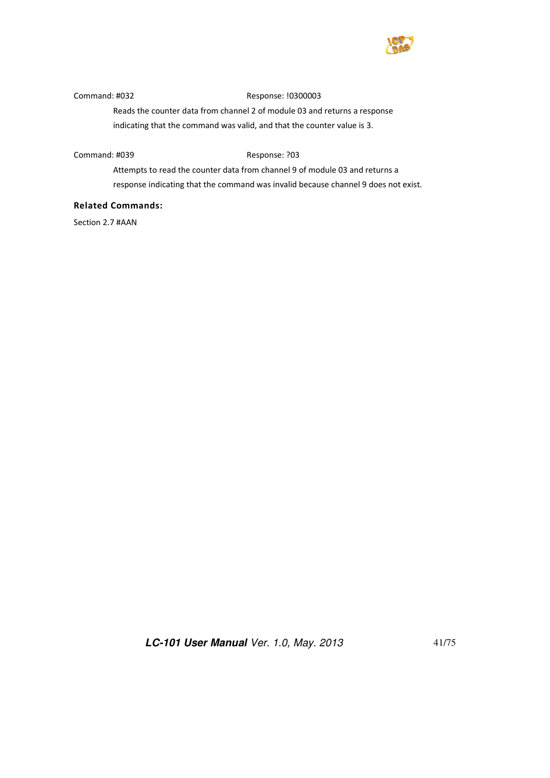

# Command: #032 Response: !0300003

 Reads the counter data from channel 2 of module 03 and returns a response indicating that the command was valid, and that the counter value is 3.

#### Command: #039 Response: ?03

 Attempts to read the counter data from channel 9 of module 03 and returns a response indicating that the command was invalid because channel 9 does not exist.

#### Related Commands:

Section 2.7 #AAN

**LC-101 User Manual** Ver. 1.0, May. 2013 41/75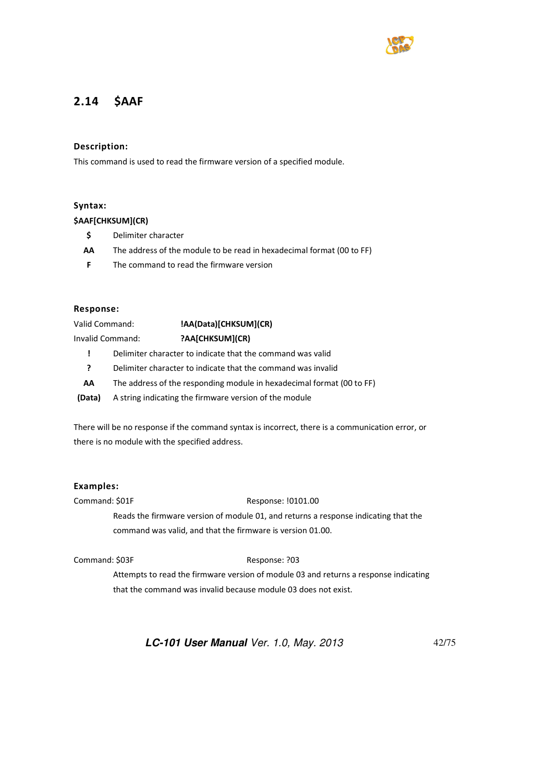

# 2.14 \$AAF

# Description:

This command is used to read the firmware version of a specified module.

#### Syntax:

# \$AAF[CHKSUM](CR)

- \$ Delimiter character
- AA The address of the module to be read in hexadecimal format (00 to FF)
- F The command to read the firmware version

# Response:

| Valid Command: |                                                                       | !AA(Data)[CHKSUM](CR)                                  |
|----------------|-----------------------------------------------------------------------|--------------------------------------------------------|
|                | Invalid Command:                                                      | ?AA[CHKSUM](CR)                                        |
|                | Delimiter character to indicate that the command was valid            |                                                        |
| ?              | Delimiter character to indicate that the command was invalid          |                                                        |
| AA             | The address of the responding module in hexadecimal format (00 to FF) |                                                        |
| (Data)         |                                                                       | A string indicating the firmware version of the module |

There will be no response if the command syntax is incorrect, there is a communication error, or there is no module with the specified address.

# Examples:

# Command: \$01F Response: !0101.00

 Reads the firmware version of module 01, and returns a response indicating that the command was valid, and that the firmware is version 01.00.

Command: \$03F Response: ?03

 Attempts to read the firmware version of module 03 and returns a response indicating that the command was invalid because module 03 does not exist.

**LC-101 User Manual** Ver. 1.0, May. 2013 42/75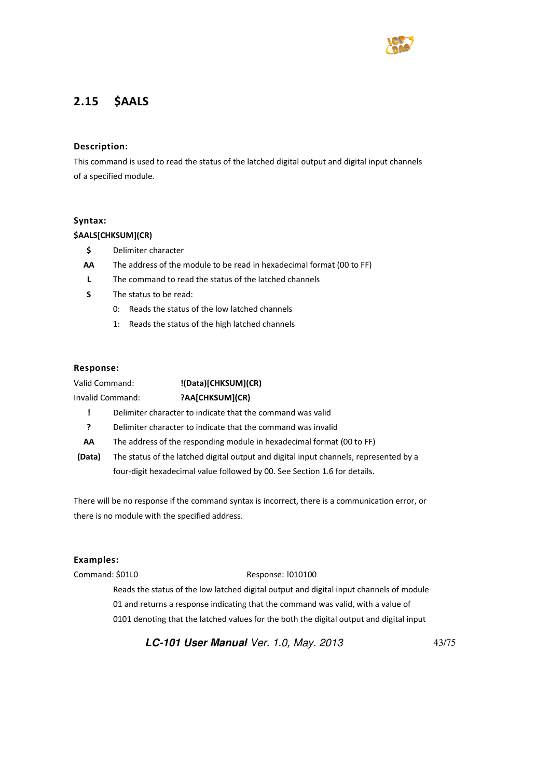

# 2.15 \$AALS

# Description:

This command is used to read the status of the latched digital output and digital input channels of a specified module.

# Syntax:

#### \$AALS[CHKSUM](CR)

- \$ Delimiter character
- AA The address of the module to be read in hexadecimal format (00 to FF)
- L The command to read the status of the latched channels
- S The status to be read:
	- 0: Reads the status of the low latched channels
	- 1: Reads the status of the high latched channels

#### Response:

| Valid Command:   | !(Data)[CHKSUM](CR)                                          |
|------------------|--------------------------------------------------------------|
| Invalid Command: | ?AA[CHKSUM](CR)                                              |
|                  | Delimiter character to indicate that the command was valid   |
| Σ.               | Delimiter character to indicate that the command was invalid |
|                  |                                                              |

- AA The address of the responding module in hexadecimal format (00 to FF)
- (Data) The status of the latched digital output and digital input channels, represented by a four-digit hexadecimal value followed by 00. See Section 1.6 for details.

There will be no response if the command syntax is incorrect, there is a communication error, or there is no module with the specified address.

#### Examples:

Command: \$01L0 Response: !010100 Reads the status of the low latched digital output and digital input channels of module 01 and returns a response indicating that the command was valid, with a value of 0101 denoting that the latched values for the both the digital output and digital input

**LC-101 User Manual** Ver. 1.0, May. 2013 43/75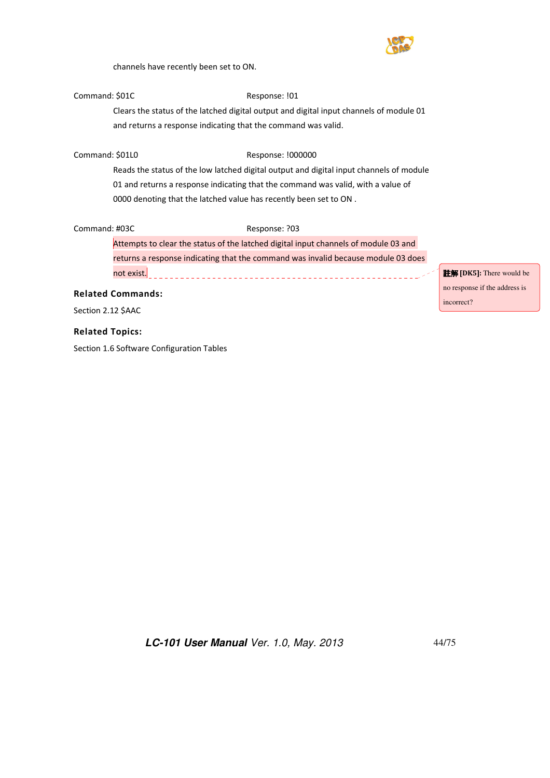

channels have recently been set to ON.

Command: \$01C Response: !01 Clears the status of the latched digital output and digital input channels of module 01 and returns a response indicating that the command was valid.

#### Command: \$01L0 Response: !000000

 Reads the status of the low latched digital output and digital input channels of module 01 and returns a response indicating that the command was valid, with a value of 0000 denoting that the latched value has recently been set to ON .

#### Command: #03C Response: ?03

Attempts to clear the status of the latched digital input channels of module 03 and returns a response indicating that the command was invalid because module 03 does not exist. 

### Related Commands:

Section 2.12 \$AAC

#### Related Topics:

Section 1.6 Software Configuration Tables

註解 [DK5]: There would be no response if the address is incorrect?

**LC-101 User Manual** Ver. 1.0, May. 2013 44/75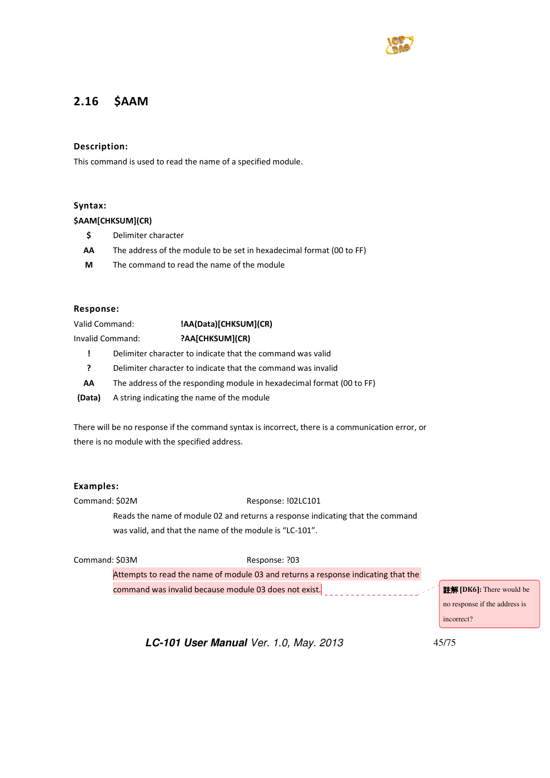

# 2.16 \$AAM

# Description:

This command is used to read the name of a specified module.

#### Syntax:

#### \$AAM[CHKSUM](CR)

- \$ Delimiter character
- AA The address of the module to be set in hexadecimal format (00 to FF)
- M The command to read the name of the module

# Response:

| Valid Command: |                                                                       | !AA(Data)[CHKSUM](CR) |
|----------------|-----------------------------------------------------------------------|-----------------------|
|                | Invalid Command:                                                      | ?AA[CHKSUM](CR)       |
|                | Delimiter character to indicate that the command was valid            |                       |
| ?              | Delimiter character to indicate that the command was invalid          |                       |
| AA             | The address of the responding module in hexadecimal format (00 to FF) |                       |
| (Data)         | A string indicating the name of the module                            |                       |

There will be no response if the command syntax is incorrect, there is a communication error, or there is no module with the specified address.

# Examples:

# Command: \$02M Response: !02LC101

 Reads the name of module 02 and returns a response indicating that the command was valid, and that the name of the module is "LC-101".

Command: \$03M Response: ?03

Attempts to read the name of module 03 and returns a response indicating that the command was invalid because module 03 does not exist.  $\frac{1}{2}$  and  $\frac{1}{2}$  if **iffs** [DK6]: There would be

no response if the address is incorrect?

**LC-101 User Manual** Ver. 1.0, May. 2013 45/75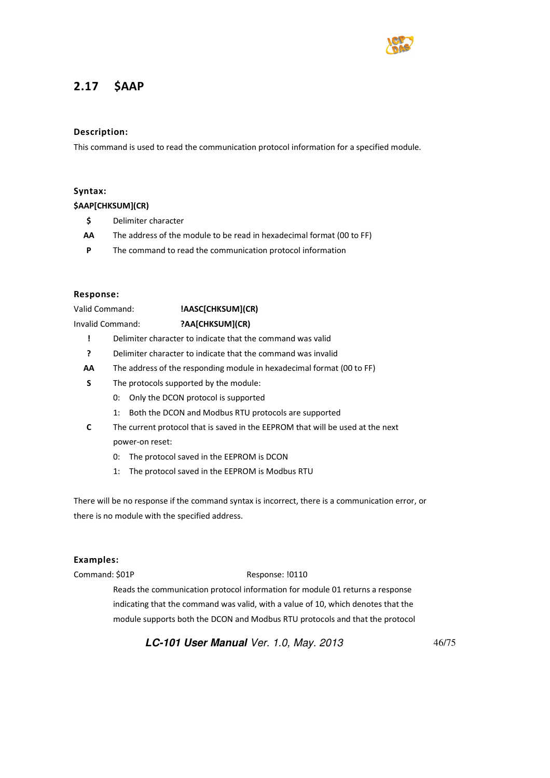

# 2.17 \$AAP

### Description:

This command is used to read the communication protocol information for a specified module.

# Syntax:

# \$AAP[CHKSUM](CR)

- \$ Delimiter character
- AA The address of the module to be read in hexadecimal format (00 to FF)
- P The command to read the communication protocol information

#### Response:

Valid Command: **!AASC[CHKSUM](CR)** Invalid Command: ?AA[CHKSUM](CR)

- ! Delimiter character to indicate that the command was valid
- ? Delimiter character to indicate that the command was invalid
- AA The address of the responding module in hexadecimal format (00 to FF)
- S The protocols supported by the module:
	- 0: Only the DCON protocol is supported
	- 1: Both the DCON and Modbus RTU protocols are supported
- C The current protocol that is saved in the EEPROM that will be used at the next power-on reset:
	- 0: The protocol saved in the EEPROM is DCON
	- 1: The protocol saved in the EEPROM is Modbus RTU

There will be no response if the command syntax is incorrect, there is a communication error, or there is no module with the specified address.

#### Examples:

#### Command: \$01P Response: !0110

 Reads the communication protocol information for module 01 returns a response indicating that the command was valid, with a value of 10, which denotes that the module supports both the DCON and Modbus RTU protocols and that the protocol

**LC-101 User Manual** Ver. 1.0, May. 2013 46/75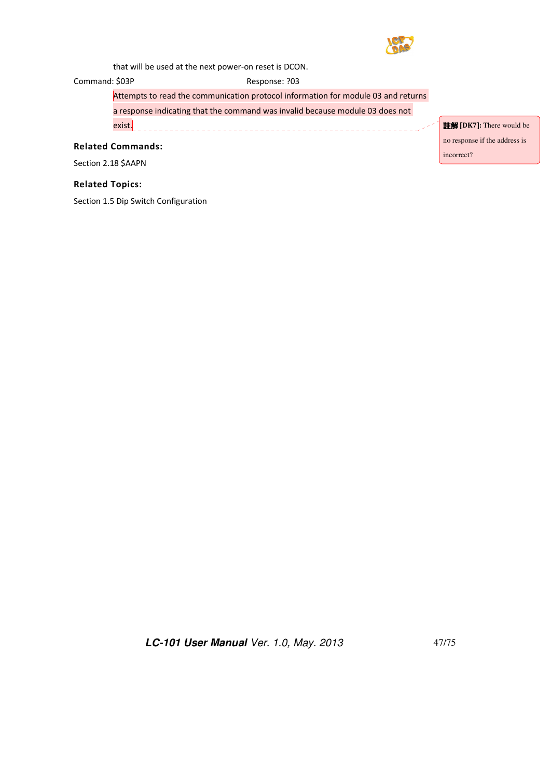

that will be used at the next power-on reset is DCON.

## Command: \$03P Response: ?03

Attempts to read the communication protocol information for module 03 and returns

a response indicating that the command was invalid because module 03 does not

exist. 

# Related Commands:

Section 2.18 \$AAPN

# Related Topics:

Section 1.5 Dip Switch Configuration

註解 [DK7]: There would be no response if the address is

incorrect?

**LC-101 User Manual** Ver. 1.0, May. 2013 47/75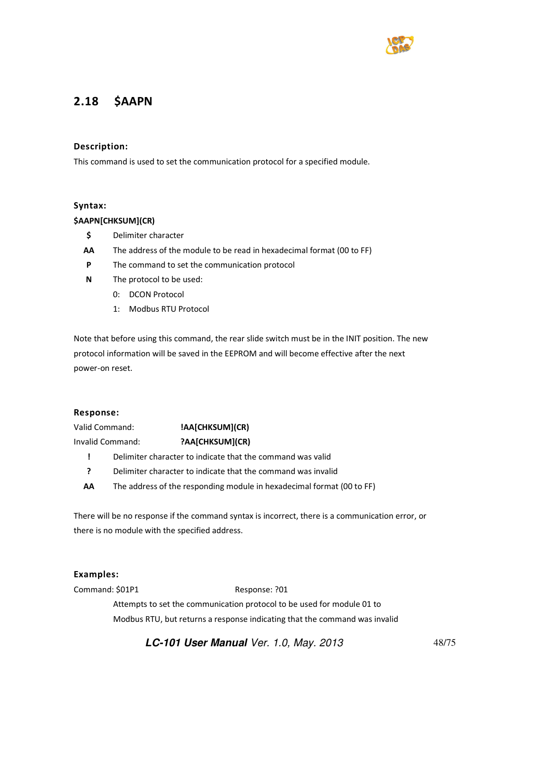

# 2.18 \$AAPN

# Description:

This command is used to set the communication protocol for a specified module.

#### Syntax:

#### \$AAPN[CHKSUM](CR)

- \$ Delimiter character
- AA The address of the module to be read in hexadecimal format (00 to FF)
- P The command to set the communication protocol
- N The protocol to be used:
	- 0: DCON Protocol
	- 1: Modbus RTU Protocol

Note that before using this command, the rear slide switch must be in the INIT position. The new protocol information will be saved in the EEPROM and will become effective after the next power-on reset.

#### Response:

| Valid Command:   | !AA[CHKSUM](CR) |
|------------------|-----------------|
| Invalid Command: | ?AA[CHKSUM](CR) |

- ! Delimiter character to indicate that the command was valid
- ? Delimiter character to indicate that the command was invalid
- AA The address of the responding module in hexadecimal format (00 to FF)

There will be no response if the command syntax is incorrect, there is a communication error, or there is no module with the specified address.

# Examples:

Command: \$01P1 Response: ?01

 Attempts to set the communication protocol to be used for module 01 to Modbus RTU, but returns a response indicating that the command was invalid

**LC-101 User Manual** Ver. 1.0, May. 2013 48/75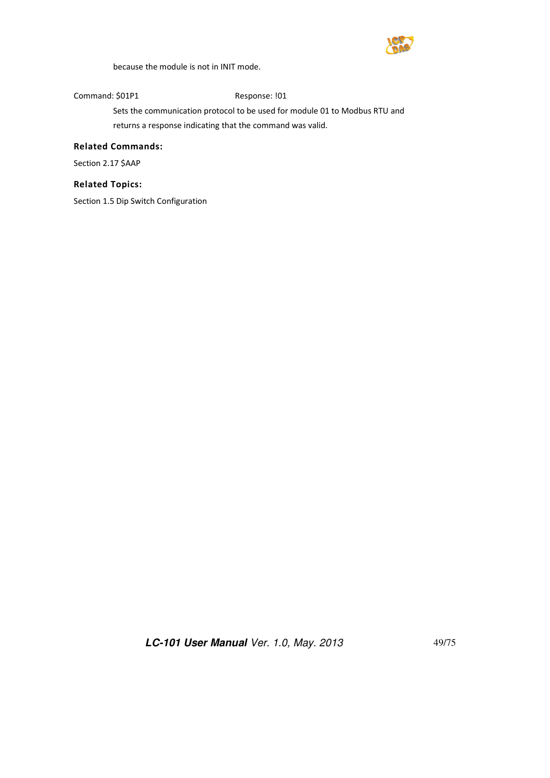

because the module is not in INIT mode.

### Command: \$01P1 Response: !01

 Sets the communication protocol to be used for module 01 to Modbus RTU and returns a response indicating that the command was valid.

# Related Commands:

Section 2.17 \$AAP

# Related Topics:

Section 1.5 Dip Switch Configuration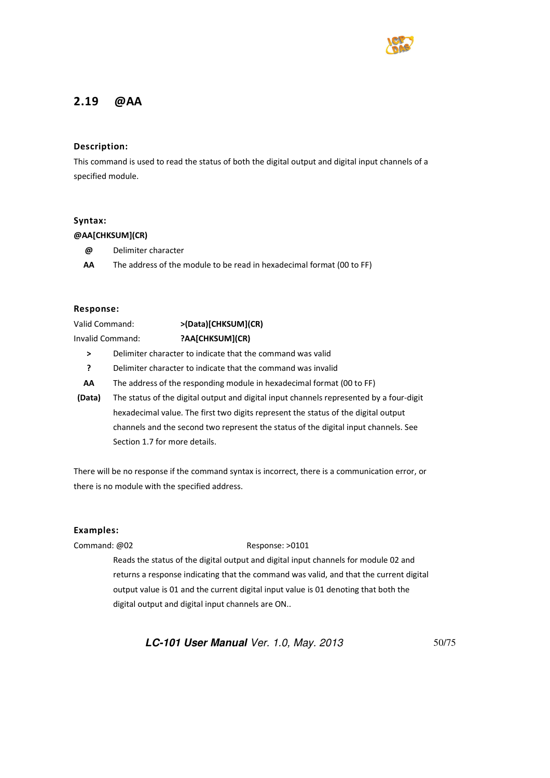

# 2.19 @AA

### Description:

This command is used to read the status of both the digital output and digital input channels of a specified module.

## Syntax:

#### @AA[CHKSUM](CR)

- @ Delimiter character
- AA The address of the module to be read in hexadecimal format (00 to FF)

#### Response:

| Valid Command:   | >(Data)[CHKSUM](CR) |  |
|------------------|---------------------|--|
| Invalid Command: | ?AA[CHKSUM](CR)     |  |
|                  |                     |  |

- > Delimiter character to indicate that the command was valid
- ? Delimiter character to indicate that the command was invalid
- AA The address of the responding module in hexadecimal format (00 to FF)
- (Data) The status of the digital output and digital input channels represented by a four-digit hexadecimal value. The first two digits represent the status of the digital output channels and the second two represent the status of the digital input channels. See Section 1.7 for more details.

There will be no response if the command syntax is incorrect, there is a communication error, or there is no module with the specified address.

# Examples:

#### Command: @02 Response: >0101

 Reads the status of the digital output and digital input channels for module 02 and returns a response indicating that the command was valid, and that the current digital output value is 01 and the current digital input value is 01 denoting that both the digital output and digital input channels are ON..

**LC-101 User Manual** Ver. 1.0, May. 2013 50/75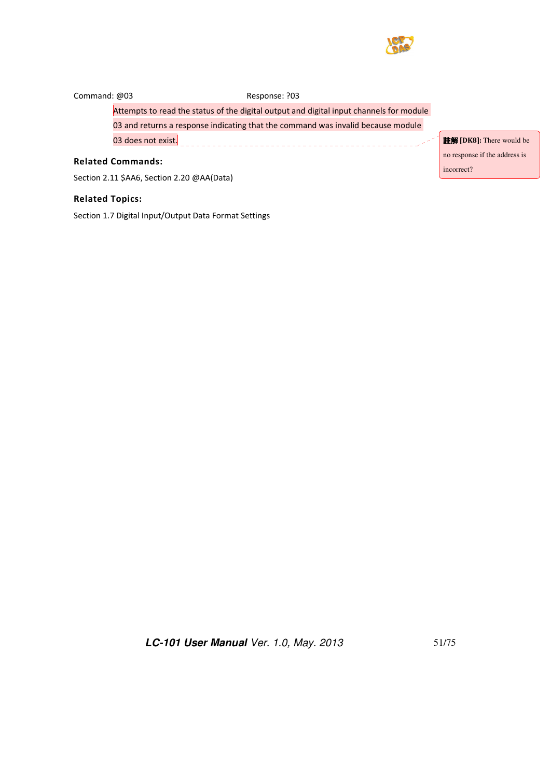

| Command: @03 |  |
|--------------|--|
|--------------|--|

Besponse: ?03

Attempts to read the status of the digital output and digital input channels for module 03 and returns a response indicating that the command was invalid because module 03 does not exist. 

#### Related Commands:

Section 2.11 \$AA6, Section 2.20 @AA(Data)

# Related Topics:

Section 1.7 Digital Input/Output Data Format Settings

註解 [DK8]: There would be no response if the address is incorrect?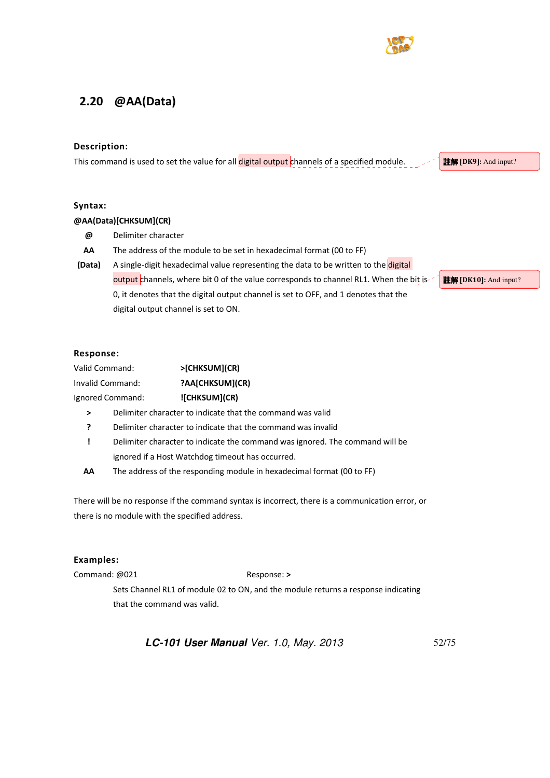# 2.20 @AA(Data)



# Description:

This command is used to set the value for all digital output channels of a specified module.

註解 [DK9]: And input?

#### Syntax:

#### @AA(Data)[CHKSUM](CR)

- @ Delimiter character
- AA The address of the module to be set in hexadecimal format (00 to FF)
- (Data) A single-digit hexadecimal value representing the data to be written to the digital output channels, where bit 0 of the value corresponds to channel RL1. When the bit is 0, it denotes that the digital output channel is set to OFF, and 1 denotes that the digital output channel is set to ON. 註解 [DK10]: And input?

#### Response:

| Valid Command:   | >[CHKSUM](CR)   |
|------------------|-----------------|
| Invalid Command: | ?AA[CHKSUM](CR) |
| Ignored Command: | ![CHKSUM](CR)   |

- > Delimiter character to indicate that the command was valid
- ? Delimiter character to indicate that the command was invalid
- ! Delimiter character to indicate the command was ignored. The command will be ignored if a Host Watchdog timeout has occurred.
- AA The address of the responding module in hexadecimal format (00 to FF)

There will be no response if the command syntax is incorrect, there is a communication error, or there is no module with the specified address.

## Examples:

Command: @021 Response: >

 Sets Channel RL1 of module 02 to ON, and the module returns a response indicating that the command was valid.

**LC-101 User Manual** Ver. 1.0, May. 2013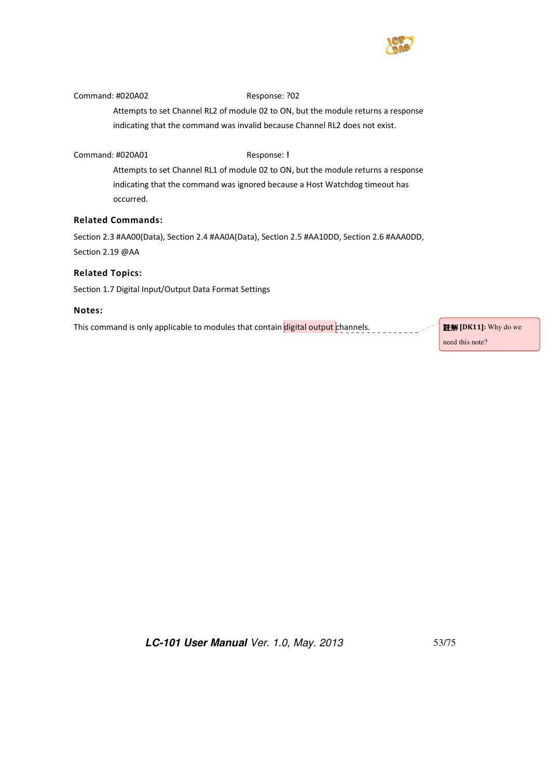

### Command: #020A02 Response: ?02

 Attempts to set Channel RL2 of module 02 to ON, but the module returns a response indicating that the command was invalid because Channel RL2 does not exist.

#### Command: #020A01 Response: !

 Attempts to set Channel RL1 of module 02 to ON, but the module returns a response indicating that the command was ignored because a Host Watchdog timeout has occurred.

## Related Commands:

Section 2.3 #AA00(Data), Section 2.4 #AA0A(Data), Section 2.5 #AA10DD, Section 2.6 #AAA0DD, Section 2.19 @AA

### Related Topics:

Section 1.7 Digital Input/Output Data Format Settings

#### Notes:

This command is only applicable to modules that contain digital output channels. 註解 [DK11]: Why do we

need this note?

**LC-101 User Manual** Ver. 1.0, May. 2013 53/75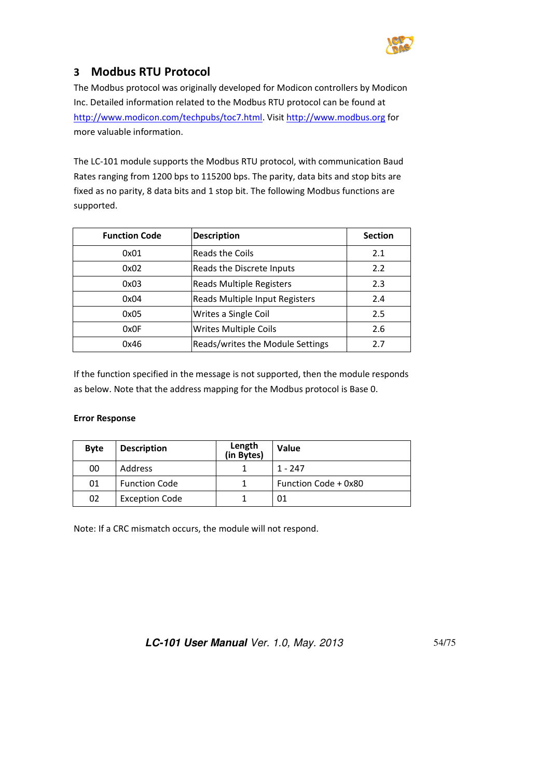

# 3 Modbus RTU Protocol

The Modbus protocol was originally developed for Modicon controllers by Modicon Inc. Detailed information related to the Modbus RTU protocol can be found at http://www.modicon.com/techpubs/toc7.html. Visit http://www.modbus.org for more valuable information.

The LC-101 module supports the Modbus RTU protocol, with communication Baud Rates ranging from 1200 bps to 115200 bps. The parity, data bits and stop bits are fixed as no parity, 8 data bits and 1 stop bit. The following Modbus functions are supported.

| <b>Function Code</b> | <b>Description</b>               | <b>Section</b> |
|----------------------|----------------------------------|----------------|
| 0x01                 | <b>Reads the Coils</b>           | 2.1            |
| 0x02                 | Reads the Discrete Inputs        | 2.2            |
| 0x03                 | Reads Multiple Registers         | 2.3            |
| 0x04                 | Reads Multiple Input Registers   | 2.4            |
| 0x05                 | Writes a Single Coil             | 2.5            |
| 0x0F                 | <b>Writes Multiple Coils</b>     | 2.6            |
| 0x46                 | Reads/writes the Module Settings | 2.7            |

If the function specified in the message is not supported, then the module responds as below. Note that the address mapping for the Modbus protocol is Base 0.

# Error Response

| <b>Byte</b> | <b>Description</b>    | Length<br>(in Bytes) | Value                |
|-------------|-----------------------|----------------------|----------------------|
| 00          | Address               |                      | 1 - 247              |
| 01          | <b>Function Code</b>  |                      | Function Code + 0x80 |
| 02          | <b>Exception Code</b> |                      | 01                   |

Note: If a CRC mismatch occurs, the module will not respond.

**LC-101 User Manual** Ver. 1.0, May. 2013 54/75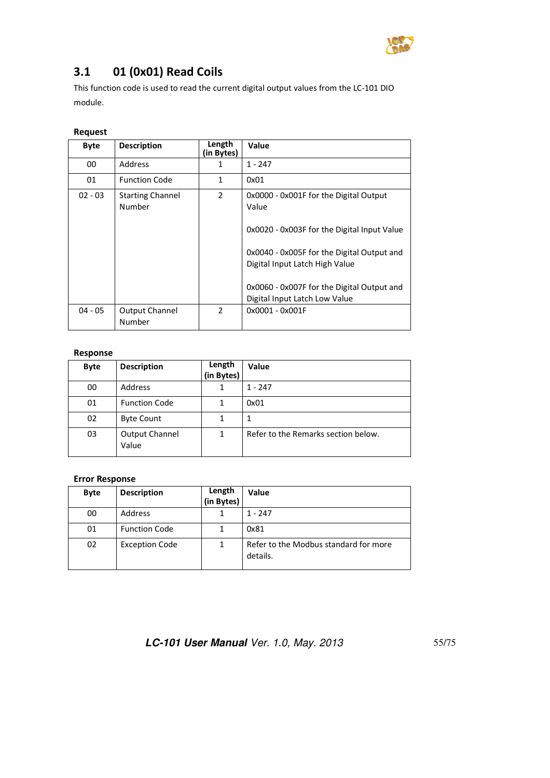

# 3.1 01 (0x01) Read Coils

This function code is used to read the current digital output values from the LC-101 DIO module.

# Request

| <b>Byte</b> | <b>Description</b>                | Length<br>(in Bytes) | Value                                                                        |
|-------------|-----------------------------------|----------------------|------------------------------------------------------------------------------|
| 00          | Address                           | 1                    | $1 - 247$                                                                    |
| 01          | <b>Function Code</b>              | 1                    | 0x01                                                                         |
| $02 - 03$   | <b>Starting Channel</b><br>Number | $\overline{2}$       | 0x0000 - 0x001F for the Digital Output<br>Value                              |
|             |                                   |                      | 0x0020 - 0x003F for the Digital Input Value                                  |
|             |                                   |                      | 0x0040 - 0x005F for the Digital Output and<br>Digital Input Latch High Value |
|             |                                   |                      | 0x0060 - 0x007F for the Digital Output and<br>Digital Input Latch Low Value  |
| $04 - 05$   | <b>Output Channel</b><br>Number   | $\mathfrak{p}$       | 0x0001 - 0x001F                                                              |

## Response

| <b>Byte</b> | <b>Description</b>      | Length<br>(in Bytes) | Value                               |
|-------------|-------------------------|----------------------|-------------------------------------|
| 00          | Address                 | 1                    | $1 - 247$                           |
| 01          | <b>Function Code</b>    | 1                    | 0x01                                |
| 02          | <b>Byte Count</b>       |                      |                                     |
| 03          | Output Channel<br>Value | $\mathbf{1}$         | Refer to the Remarks section below. |

# Error Response

| <b>Byte</b> | <b>Description</b>    | Length<br>(in Bytes) | Value                                             |
|-------------|-----------------------|----------------------|---------------------------------------------------|
| 00          | Address               |                      | $1 - 247$                                         |
| 01          | <b>Function Code</b>  | 1                    | 0x81                                              |
| 02          | <b>Exception Code</b> | 1                    | Refer to the Modbus standard for more<br>details. |

**LC-101 User Manual** Ver. 1.0, May. 2013 55/75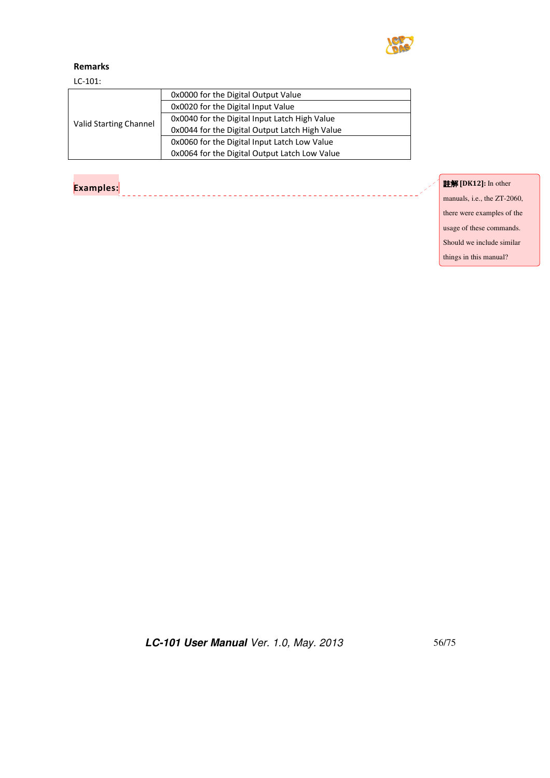

# Remarks

LC-101:

|                               | 0x0000 for the Digital Output Value            |  |  |  |
|-------------------------------|------------------------------------------------|--|--|--|
|                               | 0x0020 for the Digital Input Value             |  |  |  |
|                               | 0x0040 for the Digital Input Latch High Value  |  |  |  |
| <b>Valid Starting Channel</b> | 0x0044 for the Digital Output Latch High Value |  |  |  |
|                               | 0x0060 for the Digital Input Latch Low Value   |  |  |  |
|                               | 0x0064 for the Digital Output Latch Low Value  |  |  |  |

 $\frac{1}{\text{Examples:}}$  Examples:  $\frac{1}{\text{Examples:}}$  in other

manuals, i.e., the ZT-2060, there were examples of the usage of these commands. Should we include similar things in this manual?

**LC-101 User Manual** Ver. 1.0, May. 2013 56/75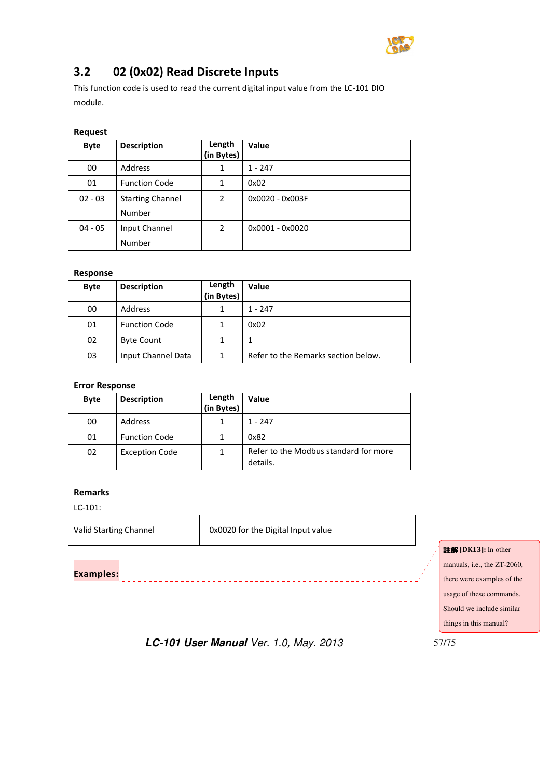

# 3.2 02 (0x02) Read Discrete Inputs

This function code is used to read the current digital input value from the LC-101 DIO module.

# Request

| <b>Byte</b> | <b>Description</b>      | Length<br>(in Bytes) | Value           |
|-------------|-------------------------|----------------------|-----------------|
| 00          | Address                 | 1                    | $1 - 247$       |
| 01          | <b>Function Code</b>    | 1                    | 0x02            |
| $02 - 03$   | <b>Starting Channel</b> | 2                    | 0x0020 - 0x003F |
|             | Number                  |                      |                 |
| $04 - 05$   | Input Channel           | 2                    | 0x0001 - 0x0020 |
|             | Number                  |                      |                 |

# Response

| <b>Byte</b> | <b>Description</b>   | Length<br>(in Bytes) | Value                               |
|-------------|----------------------|----------------------|-------------------------------------|
| 00          | Address              |                      | $1 - 247$                           |
| 01          | <b>Function Code</b> |                      | 0x02                                |
| 02          | <b>Byte Count</b>    |                      |                                     |
| 03          | Input Channel Data   |                      | Refer to the Remarks section below. |

# Error Response

| <b>Byte</b> | <b>Description</b>    | Length<br>(in Bytes) | Value                                             |
|-------------|-----------------------|----------------------|---------------------------------------------------|
| 00          | Address               |                      | $1 - 247$                                         |
| 01          | <b>Function Code</b>  | 1                    | 0x82                                              |
| 02          | <b>Exception Code</b> |                      | Refer to the Modbus standard for more<br>details. |

# Remarks

LC-101:

| <b>Valid Starting Channel</b> | 0x0020 for the Digital Input value |  |
|-------------------------------|------------------------------------|--|
|                               |                                    |  |

Examples:

**LC-101 User Manual** Ver. 1.0, May. 2013 57/75

註解 [DK13]: In other manuals, i.e., the ZT-2060,

there were examples of the usage of these commands. Should we include similar things in this manual?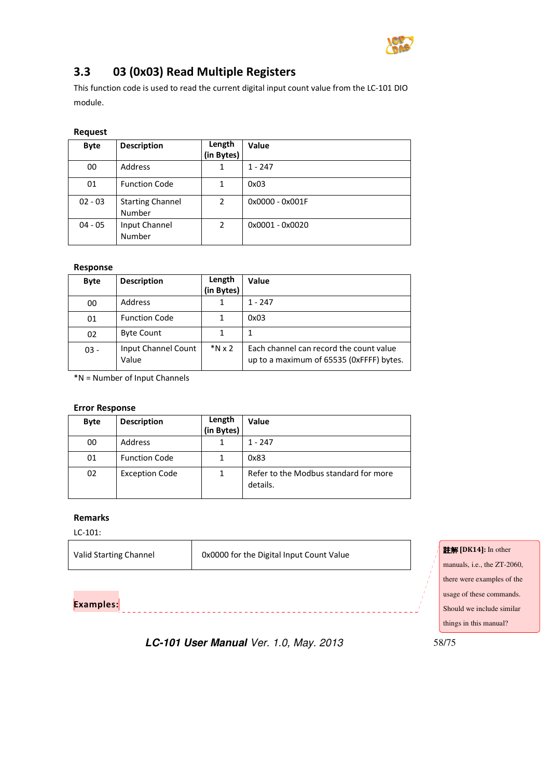

# 3.3 03 (0x03) Read Multiple Registers

This function code is used to read the current digital input count value from the LC-101 DIO module.

# Request

| <b>Byte</b> | <b>Description</b>                | Length<br>(in Bytes) | Value           |
|-------------|-----------------------------------|----------------------|-----------------|
| 00          | <b>Address</b>                    |                      | $1 - 247$       |
| 01          | <b>Function Code</b>              |                      | 0x03            |
| $02 - 03$   | <b>Starting Channel</b><br>Number | 2                    | 0x0000 - 0x001F |
| $04 - 05$   | Input Channel<br>Number           | $\mathfrak{p}$       | 0x0001 - 0x0020 |

# Response

| <b>Byte</b> | <b>Description</b>           | Length<br>(in Bytes) | Value                                                                               |
|-------------|------------------------------|----------------------|-------------------------------------------------------------------------------------|
| 00          | Address                      |                      | $1 - 247$                                                                           |
| 01          | <b>Function Code</b>         |                      | 0x03                                                                                |
| 02          | <b>Byte Count</b>            |                      | 1                                                                                   |
| $03 -$      | Input Channel Count<br>Value | $*$ N x 2            | Each channel can record the count value<br>up to a maximum of 65535 (OxFFFF) bytes. |

\*N = Number of Input Channels

#### Error Response

| <b>Byte</b> | <b>Description</b>    | Length<br>(in Bytes) | Value                                             |
|-------------|-----------------------|----------------------|---------------------------------------------------|
| 00          | Address               |                      | $1 - 247$                                         |
| 01          | <b>Function Code</b>  | 1                    | 0x83                                              |
| 02          | <b>Exception Code</b> | 1                    | Refer to the Modbus standard for more<br>details. |

## Remarks

LC-101:

| Valid Starting Channel | 0x0000 for the Digital Input Count Value |  | 註解 $[DK14]$ : In other     |
|------------------------|------------------------------------------|--|----------------------------|
|                        |                                          |  | manuals, i.e., the ZT-2060 |
|                        |                                          |  |                            |

Examples:

**LC-101 User Manual** Ver. 1.0, May. 2013 58/75

manuals, i.e., the ZT-2060, there were examples of the usage of these commands. Should we include similar things in this manual?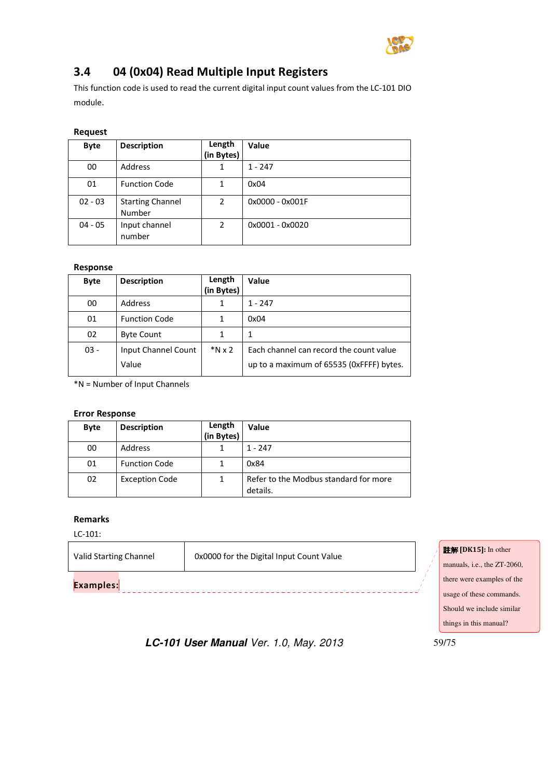

# 3.4 04 (0x04) Read Multiple Input Registers

This function code is used to read the current digital input count values from the LC-101 DIO module.

# Request

| <b>Byte</b> | <b>Description</b>                | Length<br>(in Bytes) | Value           |
|-------------|-----------------------------------|----------------------|-----------------|
| 00          | <b>Address</b>                    |                      | $1 - 247$       |
| 01          | <b>Function Code</b>              |                      | 0x04            |
| $02 - 03$   | <b>Starting Channel</b><br>Number | $\overline{2}$       | 0x0000 - 0x001F |
| $04 - 05$   | Input channel<br>number           | $\overline{2}$       | 0x0001 - 0x0020 |

# Response

| <b>Byte</b> | <b>Description</b>           | Length<br>(in Bytes) | Value                                                                               |
|-------------|------------------------------|----------------------|-------------------------------------------------------------------------------------|
| 00          | Address                      |                      | $1 - 247$                                                                           |
| 01          | <b>Function Code</b>         | 1                    | 0x04                                                                                |
| 02          | <b>Byte Count</b>            |                      | 1                                                                                   |
| $03 -$      | Input Channel Count<br>Value | $*$ N x 2            | Each channel can record the count value<br>up to a maximum of 65535 (OxFFFF) bytes. |
|             |                              |                      |                                                                                     |

\*N = Number of Input Channels

# Error Response

| <b>Byte</b> | <b>Description</b>    | Length<br>(in Bytes) | Value                                             |
|-------------|-----------------------|----------------------|---------------------------------------------------|
| 00          | Address               |                      | $1 - 247$                                         |
| 01          | <b>Function Code</b>  |                      | 0x84                                              |
| 02          | <b>Exception Code</b> | 1                    | Refer to the Modbus standard for more<br>details. |

#### Remarks

LC-101:

| Valid Starting Channel | 0x0000 for the Digital Input Count Value | 註解 $[DK15]$ : In other      |
|------------------------|------------------------------------------|-----------------------------|
|                        |                                          | manuals, i.e., the ZT-2060, |
| <b>Examples:</b>       |                                          | there were examples of the  |
|                        |                                          | usage of these commands     |

**LC-101 User Manual** Ver. 1.0, May. 2013 59/75

usage of these commands. Should we include similar things in this manual?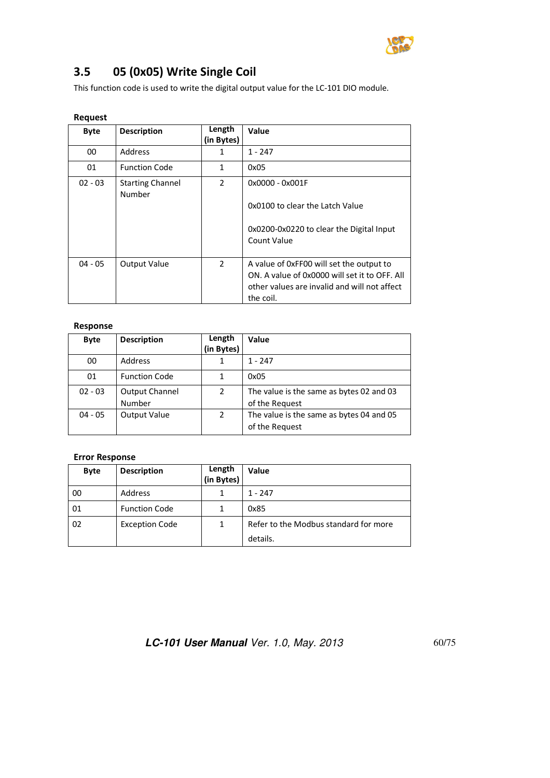

# 3.5 05 (0x05) Write Single Coil

This function code is used to write the digital output value for the LC-101 DIO module.

| <b>Request</b> |                                   |                      |                                                                                                                                                        |
|----------------|-----------------------------------|----------------------|--------------------------------------------------------------------------------------------------------------------------------------------------------|
| <b>Byte</b>    | <b>Description</b>                | Length<br>(in Bytes) | Value                                                                                                                                                  |
| 00             | Address                           | 1                    | $1 - 247$                                                                                                                                              |
| 01             | <b>Function Code</b>              | 1                    | 0x05                                                                                                                                                   |
| $02 - 03$      | <b>Starting Channel</b><br>Number | $\mathcal{P}$        | 0x0000 - 0x001F<br>0x0100 to clear the Latch Value<br>0x0200-0x0220 to clear the Digital Input<br>Count Value                                          |
| $04 - 05$      | <b>Output Value</b>               | $\mathcal{P}$        | A value of 0xFF00 will set the output to<br>ON. A value of 0x0000 will set it to OFF. All<br>other values are invalid and will not affect<br>the coil. |

# Response

| <b>Byte</b> | <b>Description</b>    | Length         | Value                                    |  |
|-------------|-----------------------|----------------|------------------------------------------|--|
|             |                       | (in Bytes)     |                                          |  |
| 00          | <b>Address</b>        | 1              | $1 - 247$                                |  |
| 01          | <b>Function Code</b>  | 1              | 0x05                                     |  |
| $02 - 03$   | <b>Output Channel</b> | 2              | The value is the same as bytes 02 and 03 |  |
|             | Number                |                | of the Request                           |  |
| $04 - 05$   | <b>Output Value</b>   | $\overline{2}$ | The value is the same as bytes 04 and 05 |  |
|             |                       |                | of the Request                           |  |

## Error Response

| <b>Byte</b> | <b>Description</b>    | Length<br>(in Bytes) | Value                                 |
|-------------|-----------------------|----------------------|---------------------------------------|
| 00          | Address               | 1                    | $1 - 247$                             |
| 01          | <b>Function Code</b>  | 1                    | 0x85                                  |
| 02          | <b>Exception Code</b> | $\mathbf{1}$         | Refer to the Modbus standard for more |
|             |                       |                      | details.                              |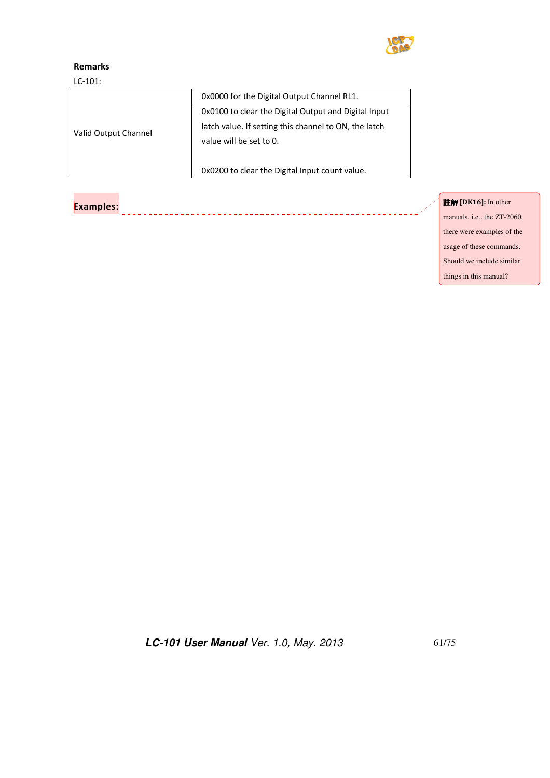

# Remarks

LC-101:

|                      | 0x0000 for the Digital Output Channel RL1.            |
|----------------------|-------------------------------------------------------|
|                      | 0x0100 to clear the Digital Output and Digital Input  |
|                      | latch value. If setting this channel to ON, the latch |
| Valid Output Channel | value will be set to 0.                               |
|                      |                                                       |
|                      | 0x0200 to clear the Digital Input count value.        |

المستقاد المستقاد المستقاد المستقاد المستقاد المستقاد المستقاد المستقاد المستقاد المستقاد المستقاد المستقاد ا<br>المستقاد المستقاد المستقاد المستقاد المستقاد المستقاد المستقاد المستقاد المستقاد المستقاد المستقاد المستقاد ا manuals, i.e., the ZT-2060, there were examples of the usage of these commands. Should we include similar things in this manual?

**LC-101 User Manual** Ver. 1.0, May. 2013 61/75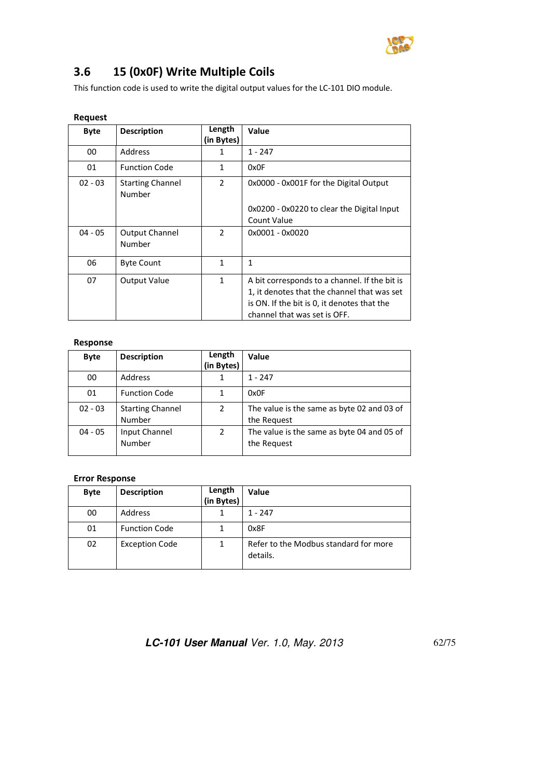

# 3.6 15 (0x0F) Write Multiple Coils

This function code is used to write the digital output values for the LC-101 DIO module.

| <b>Request</b> |                                   |                      |                                                                                                                                                                             |
|----------------|-----------------------------------|----------------------|-----------------------------------------------------------------------------------------------------------------------------------------------------------------------------|
| <b>Byte</b>    | <b>Description</b>                | Length<br>(in Bytes) | Value                                                                                                                                                                       |
| 00             | <b>Address</b>                    | 1                    | $1 - 247$                                                                                                                                                                   |
| 01             | <b>Function Code</b>              | 1                    | 0x0F                                                                                                                                                                        |
| $02 - 03$      | <b>Starting Channel</b><br>Number | 2                    | 0x0000 - 0x001F for the Digital Output                                                                                                                                      |
|                |                                   |                      | 0x0200 - 0x0220 to clear the Digital Input<br>Count Value                                                                                                                   |
| $04 - 05$      | <b>Output Channel</b><br>Number   | $\overline{2}$       | 0x0001 - 0x0020                                                                                                                                                             |
| 06             | <b>Byte Count</b>                 | 1                    | 1                                                                                                                                                                           |
| 07             | Output Value                      | 1                    | A bit corresponds to a channel. If the bit is<br>1, it denotes that the channel that was set<br>is ON. If the bit is 0, it denotes that the<br>channel that was set is OFF. |

# Response

| <b>Byte</b> | <b>Description</b>                | Length<br>(in Bytes) | Value                                                     |
|-------------|-----------------------------------|----------------------|-----------------------------------------------------------|
| 00          | Address                           |                      | $1 - 247$                                                 |
| 01          | <b>Function Code</b>              |                      | 0x0F                                                      |
| $02 - 03$   | <b>Starting Channel</b><br>Number | 2                    | The value is the same as byte 02 and 03 of<br>the Request |
| $04 - 05$   | Input Channel<br>Number           | 2                    | The value is the same as byte 04 and 05 of<br>the Request |

# Error Response

| <b>Byte</b> | <b>Description</b>    | Length<br>(in Bytes) | Value                                             |
|-------------|-----------------------|----------------------|---------------------------------------------------|
| 00          | <b>Address</b>        |                      | $1 - 247$                                         |
| 01          | <b>Function Code</b>  |                      | 0x8F                                              |
| 02          | <b>Exception Code</b> | 1                    | Refer to the Modbus standard for more<br>details. |

**LC-101 User Manual** Ver. 1.0, May. 2013 62/75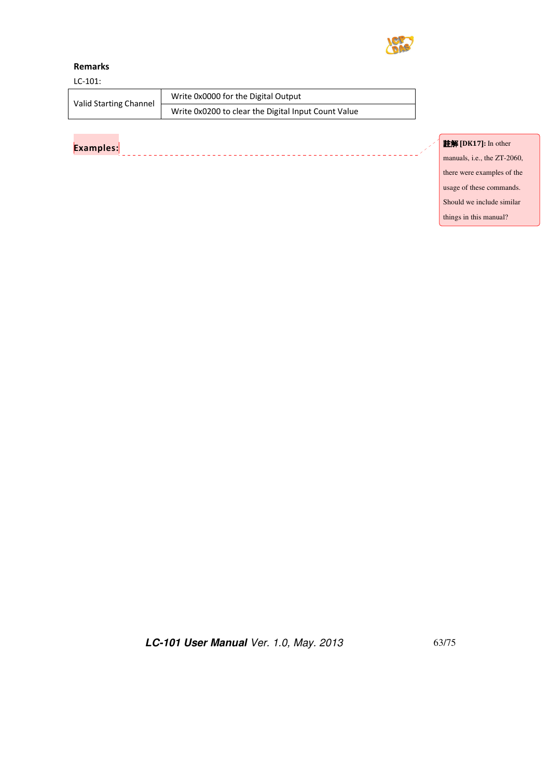

# Remarks

LC-101:

| <b>Valid Starting Channel</b> | Write 0x0000 for the Digital Output                 |
|-------------------------------|-----------------------------------------------------|
|                               | Write 0x0200 to clear the Digital Input Count Value |

Examples: **يستمر السياسية التي يستمر السياسية التي يستمر السياسية التي يتم التي يتم التي يتم التي يتم التي يتم**<br>يتم التي يتم التي يتم التي يتم التي يتم التي يتم التي يتم التي يتم التي يتم التي يتم التي يتم التي يتم التي

manuals, i.e., the ZT-2060, there were examples of the usage of these commands. Should we include similar things in this manual?

**LC-101 User Manual** Ver. 1.0, May. 2013 63/75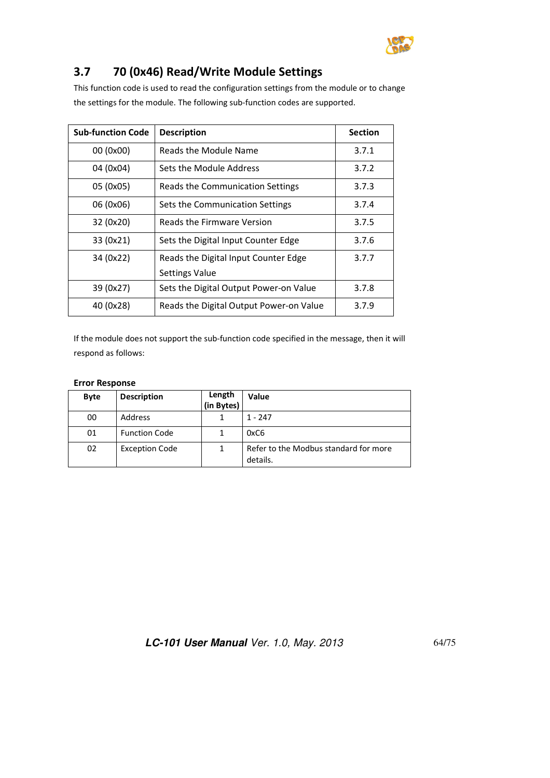

# 3.7 70 (0x46) Read/Write Module Settings

This function code is used to read the configuration settings from the module or to change the settings for the module. The following sub-function codes are supported.

| <b>Sub-function Code</b> | <b>Description</b>                      | <b>Section</b> |
|--------------------------|-----------------------------------------|----------------|
| 00 (0x00)                | Reads the Module Name                   | 3.7.1          |
| 04 (0x04)                | Sets the Module Address                 | 3.7.2          |
| 05 (0x05)                | Reads the Communication Settings        | 3.7.3          |
| 06 (0x06)                | Sets the Communication Settings         | 3.7.4          |
| 32 (0x20)                | Reads the Firmware Version              | 3.7.5          |
| 33 (0x21)                | Sets the Digital Input Counter Edge     | 3.7.6          |
| 34 (0x22)                | Reads the Digital Input Counter Edge    | 3.7.7          |
|                          | Settings Value                          |                |
| 39 (0x27)                | Sets the Digital Output Power-on Value  | 3.7.8          |
| 40 (0x28)                | Reads the Digital Output Power-on Value | 3.7.9          |

If the module does not support the sub-function code specified in the message, then it will respond as follows:

# Error Response

| <b>Byte</b> | <b>Description</b>    | Length<br>(in Bytes) | Value                                             |
|-------------|-----------------------|----------------------|---------------------------------------------------|
| 00          | <b>Address</b>        |                      | $1 - 247$                                         |
| 01          | <b>Function Code</b>  |                      | 0xC6                                              |
| 02          | <b>Exception Code</b> |                      | Refer to the Modbus standard for more<br>details. |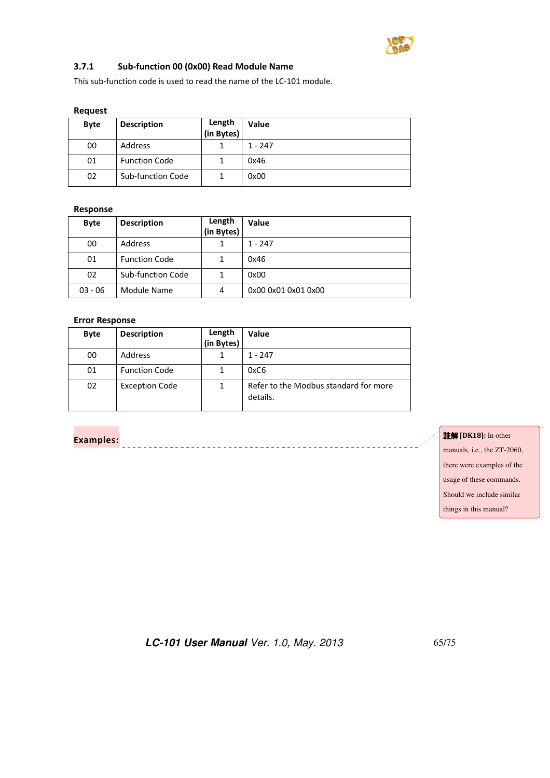

# 3.7.1 Sub-function 00 (0x00) Read Module Name

This sub-function code is used to read the name of the LC-101 module.

# Request

| <b>Byte</b> | <b>Description</b>   | Length<br>(in Bytes) | Value     |
|-------------|----------------------|----------------------|-----------|
| 00          | Address              |                      | $1 - 247$ |
| 01          | <b>Function Code</b> |                      | 0x46      |
| 02          | Sub-function Code    |                      | 0x00      |

## Response

| <b>Byte</b> | <b>Description</b>   | Length     | Value               |
|-------------|----------------------|------------|---------------------|
|             |                      | (in Bytes) |                     |
| 00          | <b>Address</b>       |            | $1 - 247$           |
| 01          | <b>Function Code</b> | 1          | 0x46                |
| 02          | Sub-function Code    | 1          | 0x00                |
| $03 - 06$   | Module Name          | 4          | 0x00 0x01 0x01 0x00 |

# Error Response

| <b>Byte</b> | <b>Description</b>    | Length<br>(in Bytes) | Value                                             |
|-------------|-----------------------|----------------------|---------------------------------------------------|
| 00          | Address               |                      | $1 - 247$                                         |
| 01          | <b>Function Code</b>  | 1                    | 0xC6                                              |
| 02          | <b>Exception Code</b> | 1                    | Refer to the Modbus standard for more<br>details. |

Examples: **يستطرح السابقة التي يستطرح السابقة التي يستطرح السابقة التي يتم التي يتم التي يتم التي يتم التي يتم<br>يتم التي يتم التي يتم التي يتم التي يتم التي يتم التي يتم التي يتم التي يتم التي يتم التي يتم التي يتم التي ي** manuals, i.e., the ZT-2060, there were examples of the usage of these commands. Should we include similar things in this manual?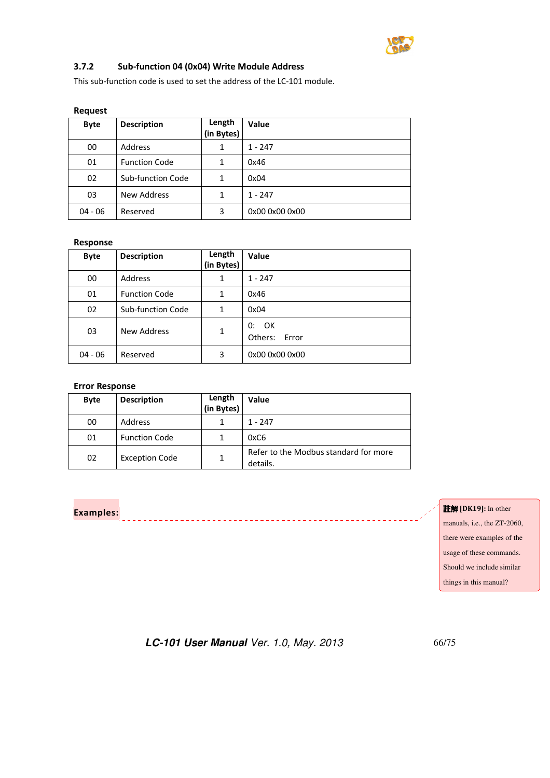

# 3.7.2 Sub-function 04 (0x04) Write Module Address

This sub-function code is used to set the address of the LC-101 module.

# Request

| <b>Byte</b> | <b>Description</b>   | Length<br>(in Bytes) | Value          |
|-------------|----------------------|----------------------|----------------|
| 00          | Address              | 1                    | $1 - 247$      |
| 01          | <b>Function Code</b> | 1                    | 0x46           |
| 02          | Sub-function Code    | 1                    | 0x04           |
| 03          | <b>New Address</b>   | 1                    | $1 - 247$      |
| $04 - 06$   | Reserved             | 3                    | 0x00 0x00 0x00 |

## Response

| <b>Byte</b> | <b>Description</b>   | Length<br>(in Bytes) | Value                  |
|-------------|----------------------|----------------------|------------------------|
| 00          | Address              | 1                    | $1 - 247$              |
| 01          | <b>Function Code</b> | 1                    | 0x46                   |
| 02          | Sub-function Code    | 1                    | 0x04                   |
| 03          | New Address          | $\mathbf{1}$         | 0: OK<br>Others: Error |
| $04 - 06$   | Reserved             | 3                    | 0x00 0x00 0x00         |

#### Error Response

| <b>Byte</b> | <b>Description</b>    | Length<br>(in Bytes) | Value                                             |
|-------------|-----------------------|----------------------|---------------------------------------------------|
| 00          | <b>Address</b>        |                      | $1 - 247$                                         |
| 01          | <b>Function Code</b>  |                      | 0xC6                                              |
| 02          | <b>Exception Code</b> | 1                    | Refer to the Modbus standard for more<br>details. |

Examples: 註解 [DK19]: In other manuals, i.e., the ZT-2060, there were examples of the

usage of these commands. Should we include similar things in this manual?

**LC-101 User Manual** Ver. 1.0, May. 2013 66/75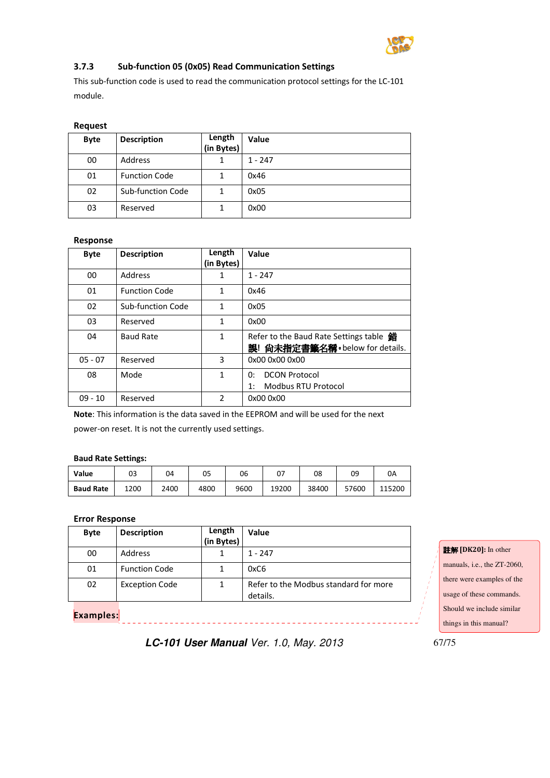

# 3.7.3 Sub-function 05 (0x05) Read Communication Settings

This sub-function code is used to read the communication protocol settings for the LC-101 module.

# Request

| <b>Byte</b> | <b>Description</b>   | Length<br>(in Bytes) | Value     |
|-------------|----------------------|----------------------|-----------|
|             |                      |                      |           |
| 00          | Address              |                      | $1 - 247$ |
| 01          | <b>Function Code</b> | 1                    | 0x46      |
| 02          | Sub-function Code    | 1                    | 0x05      |
| 03          | Reserved             | 1                    | 0x00      |

#### Response

| <b>Byte</b> | <b>Description</b>   | Length<br>(in Bytes) | Value                                                                       |
|-------------|----------------------|----------------------|-----------------------------------------------------------------------------|
| 00          | Address              | 1                    | $1 - 247$                                                                   |
| 01          | <b>Function Code</b> | 1                    | 0x46                                                                        |
| 02          | Sub-function Code    | 1                    | 0x05                                                                        |
| 03          | Reserved             | 1                    | 0x00                                                                        |
| 04          | <b>Baud Rate</b>     | 1                    | Refer to the Baud Rate Settings table 錯<br>誤! 尚未指定書籤名稱 • below for details. |
| $05 - 07$   | Reserved             | 3                    | 0x00 0x00 0x00                                                              |
| 08          | Mode                 | 1                    | <b>DCON Protocol</b><br>0:                                                  |
|             |                      |                      | <b>Modbus RTU Protocol</b><br>1:                                            |
| $09 - 10$   | Reserved             | $\mathfrak{p}$       | 0x00 0x00                                                                   |

Note: This information is the data saved in the EEPROM and will be used for the next power-on reset. It is not the currently used settings.

#### Baud Rate Settings:

| Value            | 03   | 04   | 05   | 06   | 07    | 08    | 09    | 0Α     |
|------------------|------|------|------|------|-------|-------|-------|--------|
| <b>Baud Rate</b> | 1200 | 2400 | 4800 | 9600 | 19200 | 38400 | 57600 | 115200 |

#### Error Response

| <b>Byte</b>      | <b>Description</b>    | Length<br>(in Bytes) | Value                                             |
|------------------|-----------------------|----------------------|---------------------------------------------------|
| 00               | Address               | 1                    | $1 - 247$                                         |
| 01               | <b>Function Code</b>  | 1                    | 0xC6                                              |
| 02               | <b>Exception Code</b> | $\mathbf{1}$         | Refer to the Modbus standard for more<br>details. |
| <b>Examples:</b> |                       |                      |                                                   |

**LC-101 User Manual** Ver. 1.0, May. 2013 67/75

<u>. . . . . . . . . .</u>

註解 [DK20]: In other manuals, i.e., the ZT-2060, there were examples of the usage of these commands. Should we include similar things in this manual?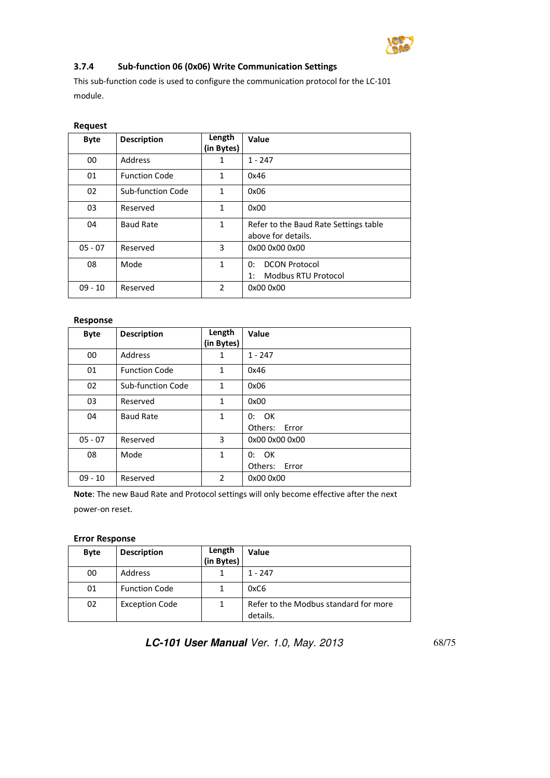

# 3.7.4 Sub-function 06 (0x06) Write Communication Settings

This sub-function code is used to configure the communication protocol for the LC-101 module.

# Request

| <b>Byte</b> | <b>Description</b>   | Length         | Value                                 |
|-------------|----------------------|----------------|---------------------------------------|
|             |                      | (in Bytes)     |                                       |
| 00          | <b>Address</b>       | 1              | $1 - 247$                             |
| 01          | <b>Function Code</b> | 1              | 0x46                                  |
| 02          | Sub-function Code    | 1              | 0x06                                  |
| 03          | Reserved             | 1              | 0x00                                  |
| 04          | <b>Baud Rate</b>     | $\mathbf{1}$   | Refer to the Baud Rate Settings table |
|             |                      |                | above for details.                    |
| $05 - 07$   | Reserved             | 3              | 0x00 0x00 0x00                        |
| 08          | Mode                 | $\mathbf{1}$   | <b>DCON Protocol</b><br>0:            |
|             |                      |                | Modbus RTU Protocol<br>1:             |
| $09 - 10$   | Reserved             | $\mathfrak{p}$ | 0x00 0x00                             |

# Response

| <b>Byte</b> | <b>Description</b>   | Length<br>(in Bytes) | Value            |
|-------------|----------------------|----------------------|------------------|
| 00          | Address              | 1                    | $1 - 247$        |
| 01          | <b>Function Code</b> | $\mathbf{1}$         | 0x46             |
| 02          | Sub-function Code    | $\mathbf{1}$         | 0x06             |
| 03          | Reserved             | 1                    | 0x00             |
| 04          | <b>Baud Rate</b>     | $\mathbf{1}$         | 0:OR             |
|             |                      |                      | Others:<br>Error |
| $05 - 07$   | Reserved             | 3                    | 0x00 0x00 0x00   |
| 08          | Mode                 | $\mathbf{1}$         | $0:$ OK          |
|             |                      |                      | Others:<br>Error |
| $09 - 10$   | Reserved             | 2                    | 0x00 0x00        |

Note: The new Baud Rate and Protocol settings will only become effective after the next power-on reset.

#### Error Response

| <b>Byte</b> | <b>Description</b>    | Length<br>(in Bytes) | Value                                             |
|-------------|-----------------------|----------------------|---------------------------------------------------|
| 00          | Address               |                      | $1 - 247$                                         |
| 01          | <b>Function Code</b>  |                      | 0xC6                                              |
| 02          | <b>Exception Code</b> | 1                    | Refer to the Modbus standard for more<br>details. |

**LC-101 User Manual** Ver. 1.0, May. 2013 68/75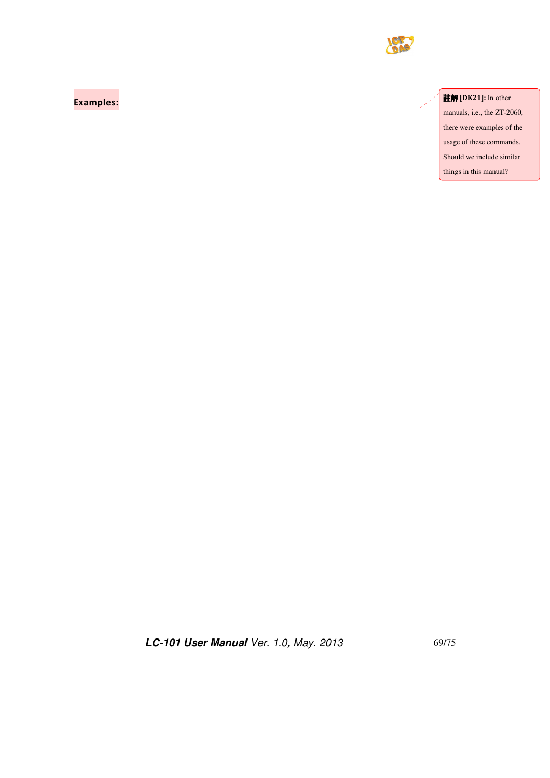

# المستقال المستقال المستقال المستقال المستقال المستقلة المستقلة المستقلة المستقلة المستقلة المستقلة المستقلة ا<br>المستقلة المستقلة المستقلة المستقلة المستقلة المستقلة المستقلة المستقلة المستقلة المستقلة المستقلة المستقلة ا

manuals, i.e., the ZT-2060, there were examples of the usage of these commands. Should we include similar things in this manual?

**LC-101 User Manual** Ver. 1.0, May. 2013 69/75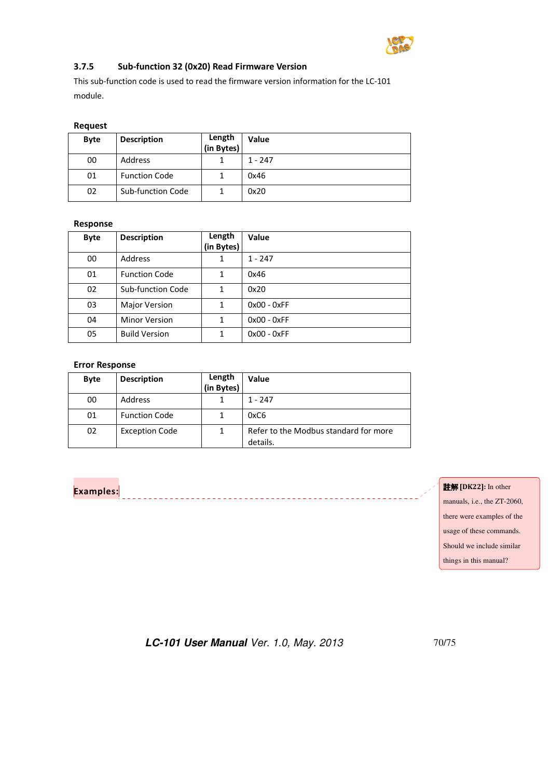

# 3.7.5 Sub-function 32 (0x20) Read Firmware Version

This sub-function code is used to read the firmware version information for the LC-101 module.

# Request

| <b>Byte</b> | <b>Description</b>   | Length<br>(in Bytes) | Value     |
|-------------|----------------------|----------------------|-----------|
| 00          | Address              |                      | $1 - 247$ |
| 01          | <b>Function Code</b> |                      | 0x46      |
| 02          | Sub-function Code    |                      | 0x20      |

## Response

| <b>Byte</b> | <b>Description</b>   | Length<br>(in Bytes) | Value         |
|-------------|----------------------|----------------------|---------------|
| 00          | <b>Address</b>       | 1                    | $1 - 247$     |
| 01          | <b>Function Code</b> | 1                    | 0x46          |
| 02          | Sub-function Code    | 1                    | 0x20          |
| 03          | <b>Major Version</b> | 1                    | $0x00 - 0xFF$ |
| 04          | <b>Minor Version</b> | 1                    | $0x00 - 0xFF$ |
| 05          | <b>Build Version</b> | 1                    | $0x00 - 0xFF$ |

#### Error Response

| <b>Byte</b> | <b>Description</b>    | Length<br>(in Bytes) | Value                                             |
|-------------|-----------------------|----------------------|---------------------------------------------------|
| 00          | Address               |                      | $1 - 247$                                         |
| 01          | <b>Function Code</b>  |                      | 0xC6                                              |
| 02          | <b>Exception Code</b> |                      | Refer to the Modbus standard for more<br>details. |

Examples: **ي**د السياسية بين الشركة السياسية بين المسابق المسابق السياسية بين الشركة السياسية بين المسابق المسابق<br>2010 - يوم السياسية بين المسابق المسابق المسابق المسابق المسابق المسابق المسابق المسابق المسابق المسابق الم manuals, i.e., the ZT-2060, there were examples of the usage of these commands. Should we include similar things in this manual?

**LC-101 User Manual** Ver. 1.0, May. 2013 70/75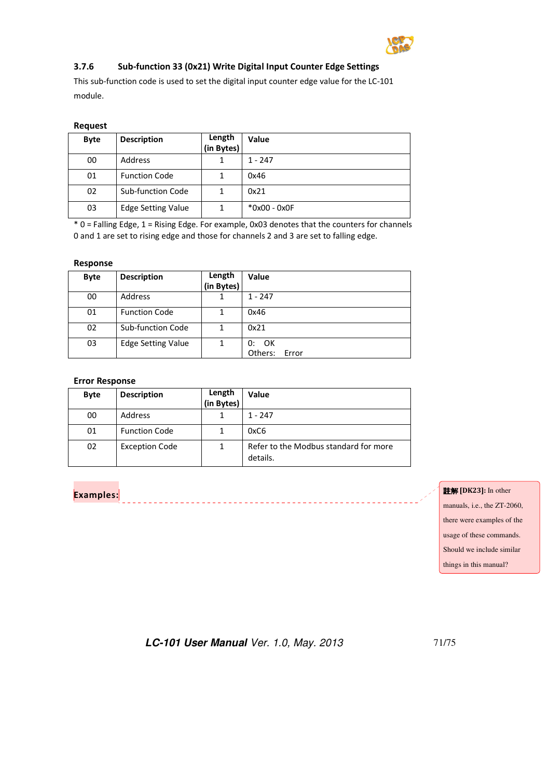

# 3.7.6 Sub-function 33 (0x21) Write Digital Input Counter Edge Settings

This sub-function code is used to set the digital input counter edge value for the LC-101 module.

#### Request

| <b>Byte</b> | <b>Description</b>        | Length     | Value          |
|-------------|---------------------------|------------|----------------|
|             |                           | (in Bytes) |                |
| 00          | Address                   |            | $1 - 247$      |
| 01          | <b>Function Code</b>      | 1          | 0x46           |
| 02          | Sub-function Code         |            | 0x21           |
| 03          | <b>Edge Setting Value</b> |            | $*0x00 - 0x0F$ |

\* 0 = Falling Edge, 1 = Rising Edge. For example, 0x03 denotes that the counters for channels 0 and 1 are set to rising edge and those for channels 2 and 3 are set to falling edge.

#### Response

| <b>Byte</b> | <b>Description</b>        | Length<br>(in Bytes) | Value                  |
|-------------|---------------------------|----------------------|------------------------|
| 00          | <b>Address</b>            |                      | $1 - 247$              |
| 01          | <b>Function Code</b>      |                      | 0x46                   |
| 02          | Sub-function Code         | 1                    | 0x21                   |
| 03          | <b>Edge Setting Value</b> |                      | 0: OK<br>Others: Error |

# Error Response

| <b>Byte</b> | <b>Description</b>    | Length<br>(in Bytes) | Value                                             |
|-------------|-----------------------|----------------------|---------------------------------------------------|
| 00          | Address               |                      | $1 - 247$                                         |
| 01          | <b>Function Code</b>  |                      | 0xC6                                              |
| 02          | <b>Exception Code</b> |                      | Refer to the Modbus standard for more<br>details. |

Examples: 2008. The other contracts and the contract of the contract of the contract of the contract of the contract of the contract of the contract of the contract of the contract of the contract of the contract of the c manuals, i.e., the ZT-2060, there were examples of the usage of these commands. Should we include similar things in this manual?

**LC-101 User Manual** Ver. 1.0, May. 2013 71/75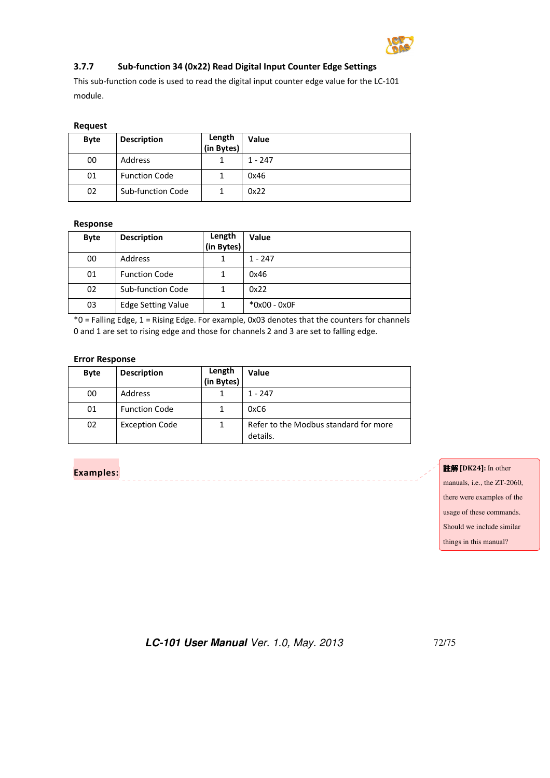

# 3.7.7 Sub-function 34 (0x22) Read Digital Input Counter Edge Settings

This sub-function code is used to read the digital input counter edge value for the LC-101 module.

#### Request

| <b>Byte</b> | <b>Description</b>   | Length<br>(in Bytes) | Value     |
|-------------|----------------------|----------------------|-----------|
| 00          | Address              |                      | $1 - 247$ |
| 01          | <b>Function Code</b> |                      | 0x46      |
| 02          | Sub-function Code    |                      | 0x22      |

#### Response

| <b>Byte</b> | <b>Description</b>        | Length     | Value          |
|-------------|---------------------------|------------|----------------|
|             |                           | (in Bytes) |                |
| 00          | Address                   |            | $1 - 247$      |
| 01          | <b>Function Code</b>      | 1          | 0x46           |
| 02          | Sub-function Code         |            | 0x22           |
| 03          | <b>Edge Setting Value</b> |            | $*0x00 - 0x0F$ |

\*0 = Falling Edge, 1 = Rising Edge. For example, 0x03 denotes that the counters for channels 0 and 1 are set to rising edge and those for channels 2 and 3 are set to falling edge.

## Error Response

| <b>Byte</b> | <b>Description</b>    | Length<br>(in Bytes) | Value                                             |
|-------------|-----------------------|----------------------|---------------------------------------------------|
| 00          | Address               |                      | $1 - 247$                                         |
| 01          | <b>Function Code</b>  |                      | 0xC6                                              |
| 02          | <b>Exception Code</b> |                      | Refer to the Modbus standard for more<br>details. |

Examples: 註解 [DK24]: In other manuals, i.e., the ZT-2060, there were examples of the usage of these commands. Should we include similar things in this manual?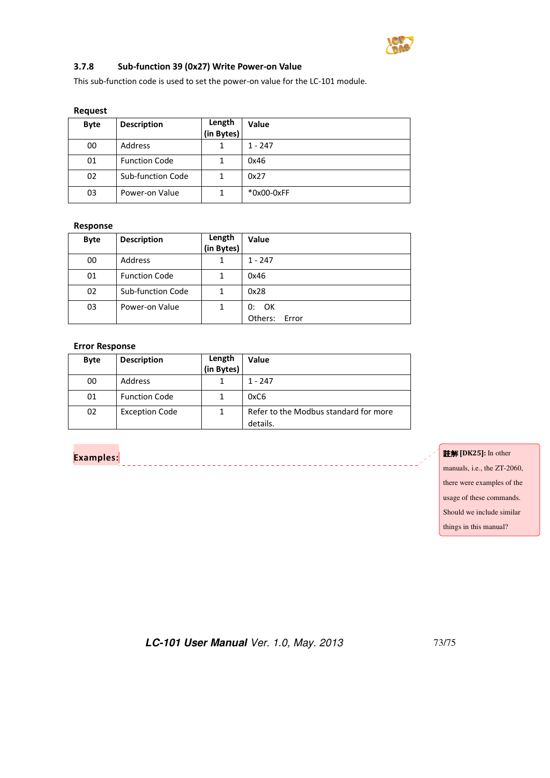

# 3.7.8 Sub-function 39 (0x27) Write Power-on Value

This sub-function code is used to set the power-on value for the LC-101 module.

## Request

| <b>Byte</b> | <b>Description</b>   | Length     | Value      |
|-------------|----------------------|------------|------------|
|             |                      | (in Bytes) |            |
| 00          | Address              |            | $1 - 247$  |
| 01          | <b>Function Code</b> | 1          | 0x46       |
| 02          | Sub-function Code    | 1          | 0x27       |
| 03          | Power-on Value       |            | *0x00-0xFF |

### Response

| <b>Byte</b> | <b>Description</b>   | Length     | Value            |
|-------------|----------------------|------------|------------------|
|             |                      | (in Bytes) |                  |
| 00          | Address              | 1          | $1 - 247$        |
| 01          | <b>Function Code</b> | 1          | 0x46             |
| 02          | Sub-function Code    | 1          | 0x28             |
| 03          | Power-on Value       | 1          | 0: OK            |
|             |                      |            | Others:<br>Error |

### Error Response

| <b>Byte</b> | <b>Description</b>    | Length<br>(in Bytes) | Value                                             |
|-------------|-----------------------|----------------------|---------------------------------------------------|
| 00          | Address               |                      | $1 - 247$                                         |
| 01          | <b>Function Code</b>  |                      | 0xC6                                              |
| 02          | <b>Exception Code</b> |                      | Refer to the Modbus standard for more<br>details. |

examples: <mark>Examples:</mark> http://www.facebook.com/default/default/default/default/default/default/default/default/def manuals, i.e., the ZT-2060, there were examples of the usage of these commands. Should we include similar things in this manual?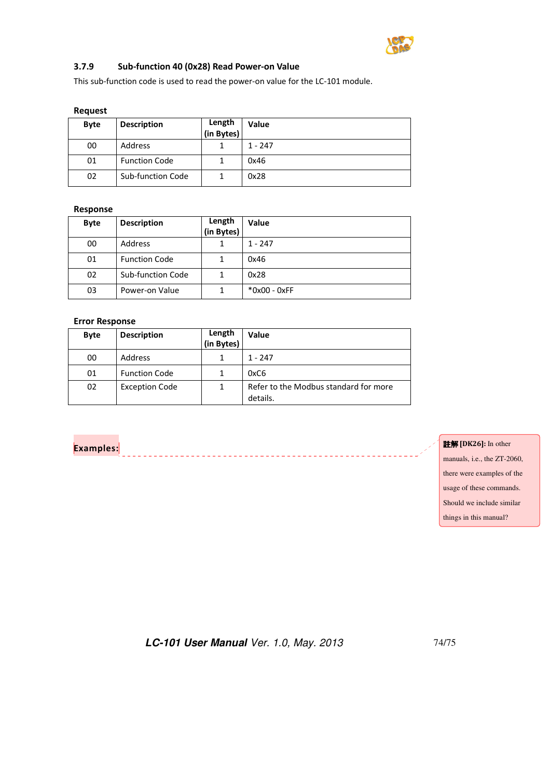

# 3.7.9 Sub-function 40 (0x28) Read Power-on Value

This sub-function code is used to read the power-on value for the LC-101 module.

### Request

| <b>Byte</b> | <b>Description</b>   | Length     | Value     |
|-------------|----------------------|------------|-----------|
|             |                      | (in Bytes) |           |
| 00          | Address              |            | $1 - 247$ |
| 01          | <b>Function Code</b> |            | 0x46      |
| 02          | Sub-function Code    |            | 0x28      |

### Response

| <b>Byte</b> | <b>Description</b>   | Length<br>(in Bytes) | Value          |
|-------------|----------------------|----------------------|----------------|
| 00          | Address              |                      | $1 - 247$      |
| 01          | <b>Function Code</b> | 1                    | 0x46           |
| 02          | Sub-function Code    | 1                    | 0x28           |
| 03          | Power-on Value       |                      | $*0x00 - 0xFF$ |

## Error Response

| <b>Byte</b> | <b>Description</b>    | Length<br>(in Bytes) | Value                                 |
|-------------|-----------------------|----------------------|---------------------------------------|
| 00          | Address               |                      | $1 - 247$                             |
| 01          | <b>Function Code</b>  |                      | 0xC6                                  |
| 02          | <b>Exception Code</b> |                      | Refer to the Modbus standard for more |
|             |                       |                      | details.                              |

Examples: 註解 [DK26]: In other manuals, i.e., the ZT-2060, there were examples of the usage of these commands. Should we include similar things in this manual?

**LC-101 User Manual** Ver. 1.0, May. 2013 74/75